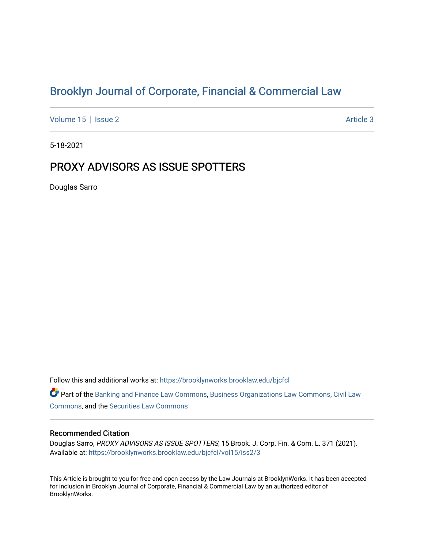# [Brooklyn Journal of Corporate, Financial & Commercial Law](https://brooklynworks.brooklaw.edu/bjcfcl)

[Volume 15](https://brooklynworks.brooklaw.edu/bjcfcl/vol15) | [Issue 2](https://brooklynworks.brooklaw.edu/bjcfcl/vol15/iss2) Article 3

5-18-2021

## PROXY ADVISORS AS ISSUE SPOTTERS

Douglas Sarro

Follow this and additional works at: [https://brooklynworks.brooklaw.edu/bjcfcl](https://brooklynworks.brooklaw.edu/bjcfcl?utm_source=brooklynworks.brooklaw.edu%2Fbjcfcl%2Fvol15%2Fiss2%2F3&utm_medium=PDF&utm_campaign=PDFCoverPages)

Part of the [Banking and Finance Law Commons,](http://network.bepress.com/hgg/discipline/833?utm_source=brooklynworks.brooklaw.edu%2Fbjcfcl%2Fvol15%2Fiss2%2F3&utm_medium=PDF&utm_campaign=PDFCoverPages) [Business Organizations Law Commons](http://network.bepress.com/hgg/discipline/900?utm_source=brooklynworks.brooklaw.edu%2Fbjcfcl%2Fvol15%2Fiss2%2F3&utm_medium=PDF&utm_campaign=PDFCoverPages), [Civil Law](http://network.bepress.com/hgg/discipline/835?utm_source=brooklynworks.brooklaw.edu%2Fbjcfcl%2Fvol15%2Fiss2%2F3&utm_medium=PDF&utm_campaign=PDFCoverPages) [Commons](http://network.bepress.com/hgg/discipline/835?utm_source=brooklynworks.brooklaw.edu%2Fbjcfcl%2Fvol15%2Fiss2%2F3&utm_medium=PDF&utm_campaign=PDFCoverPages), and the [Securities Law Commons](http://network.bepress.com/hgg/discipline/619?utm_source=brooklynworks.brooklaw.edu%2Fbjcfcl%2Fvol15%2Fiss2%2F3&utm_medium=PDF&utm_campaign=PDFCoverPages) 

#### Recommended Citation

Douglas Sarro, PROXY ADVISORS AS ISSUE SPOTTERS, 15 Brook. J. Corp. Fin. & Com. L. 371 (2021). Available at: [https://brooklynworks.brooklaw.edu/bjcfcl/vol15/iss2/3](https://brooklynworks.brooklaw.edu/bjcfcl/vol15/iss2/3?utm_source=brooklynworks.brooklaw.edu%2Fbjcfcl%2Fvol15%2Fiss2%2F3&utm_medium=PDF&utm_campaign=PDFCoverPages)

This Article is brought to you for free and open access by the Law Journals at BrooklynWorks. It has been accepted for inclusion in Brooklyn Journal of Corporate, Financial & Commercial Law by an authorized editor of BrooklynWorks.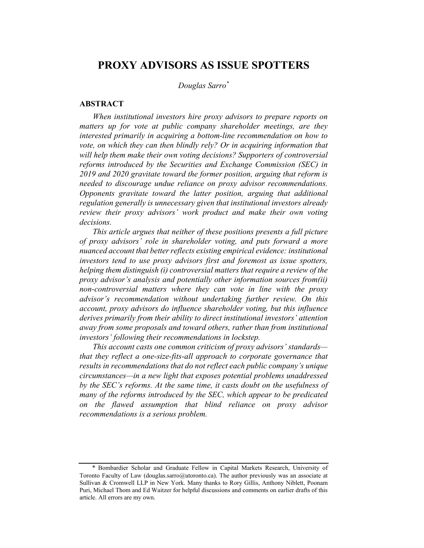## PROXY ADVISORS AS ISSUE SPOTTERS

Douglas Sarro\*

#### ABSTRACT

When institutional investors hire proxy advisors to prepare reports on matters up for vote at public company shareholder meetings, are they interested primarily in acquiring a bottom-line recommendation on how to vote, on which they can then blindly rely? Or in acquiring information that will help them make their own voting decisions? Supporters of controversial reforms introduced by the Securities and Exchange Commission (SEC) in 2019 and 2020 gravitate toward the former position, arguing that reform is needed to discourage undue reliance on proxy advisor recommendations. Opponents gravitate toward the latter position, arguing that additional regulation generally is unnecessary given that institutional investors already review their proxy advisors' work product and make their own voting decisions.

This article argues that neither of these positions presents a full picture of proxy advisors' role in shareholder voting, and puts forward a more nuanced account that better reflects existing empirical evidence: institutional investors tend to use proxy advisors first and foremost as issue spotters, helping them distinguish (i) controversial matters that require a review of the proxy advisor's analysis and potentially other information sources from(ii) non-controversial matters where they can vote in line with the proxy advisor's recommendation without undertaking further review. On this account, proxy advisors do influence shareholder voting, but this influence derives primarily from their ability to direct institutional investors' attention away from some proposals and toward others, rather than from institutional investors' following their recommendations in lockstep.

This account casts one common criticism of proxy advisors' standards that they reflect a one-size-fits-all approach to corporate governance that results in recommendations that do not reflect each public company's unique circumstances—in a new light that exposes potential problems unaddressed by the SEC's reforms. At the same time, it casts doubt on the usefulness of many of the reforms introduced by the SEC, which appear to be predicated on the flawed assumption that blind reliance on proxy advisor recommendations is a serious problem.

<sup>\*</sup> Bombardier Scholar and Graduate Fellow in Capital Markets Research, University of Toronto Faculty of Law (douglas.sarro@utoronto.ca). The author previously was an associate at Sullivan & Cromwell LLP in New York. Many thanks to Rory Gillis, Anthony Niblett, Poonam Puri, Michael Thom and Ed Waitzer for helpful discussions and comments on earlier drafts of this article. All errors are my own.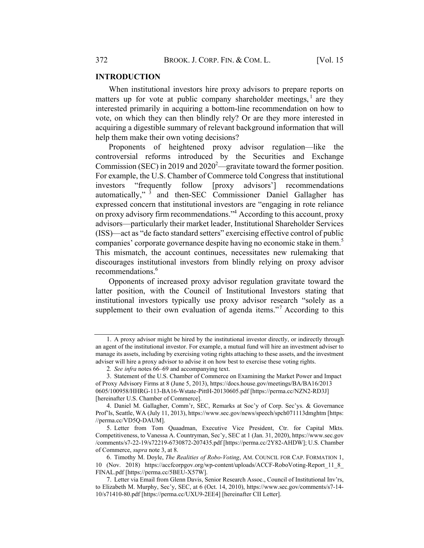#### INTRODUCTION

When institutional investors hire proxy advisors to prepare reports on matters up for vote at public company shareholder meetings,  $\frac{1}{1}$  are they interested primarily in acquiring a bottom-line recommendation on how to vote, on which they can then blindly rely? Or are they more interested in acquiring a digestible summary of relevant background information that will help them make their own voting decisions?

Proponents of heightened proxy advisor regulation—like the controversial reforms introduced by the Securities and Exchange Commission (SEC) in 2019 and  $2020^2$ —gravitate toward the former position. For example, the U.S. Chamber of Commerce told Congress that institutional investors "frequently follow [proxy advisors'] recommendations automatically," <sup>3</sup> and then-SEC Commissioner Daniel Gallagher has expressed concern that institutional investors are "engaging in rote reliance on proxy advisory firm recommendations."4 According to this account, proxy advisors—particularly their market leader, Institutional Shareholder Services (ISS)—act as "de facto standard setters" exercising effective control of public companies' corporate governance despite having no economic stake in them.<sup>5</sup> This mismatch, the account continues, necessitates new rulemaking that discourages institutional investors from blindly relying on proxy advisor recommendations.<sup>6</sup>

Opponents of increased proxy advisor regulation gravitate toward the latter position, with the Council of Institutional Investors stating that institutional investors typically use proxy advisor research "solely as a supplement to their own evaluation of agenda items."<sup>7</sup> According to this

<sup>1.</sup> A proxy advisor might be hired by the institutional investor directly, or indirectly through an agent of the institutional investor. For example, a mutual fund will hire an investment adviser to manage its assets, including by exercising voting rights attaching to these assets, and the investment adviser will hire a proxy advisor to advise it on how best to exercise these voting rights.

<sup>2</sup>. See infra notes 66–69 and accompanying text.

<sup>3.</sup> Statement of the U.S. Chamber of Commerce on Examining the Market Power and Impact of Proxy Advisory Firms at 8 (June 5, 2013), https://docs.house.gov/meetings/BA/BA16/2013 0605/100958/HHRG-113-BA16-Wstate-PittH-20130605.pdf [https://perma.cc/NZN2-RD3J] [hereinafter U.S. Chamber of Commerce].

<sup>4.</sup> Daniel M. Gallagher, Comm'r, SEC, Remarks at Soc'y of Corp. Sec'ys. & Governance Prof'ls, Seattle, WA (July 11, 2013), https://www.sec.gov/news/speech/spch071113dmghtm [https: //perma.cc/VD5Q-DAUM].

<sup>5.</sup> Letter from Tom Quaadman, Executive Vice President, Ctr. for Capital Mkts. Competitiveness, to Vanessa A. Countryman, Sec'y, SEC at 1 (Jan. 31, 2020), https://www.sec.gov /comments/s7-22-19/s72219-6730872-207435.pdf [https://perma.cc/2Y82-AHDW]; U.S. Chamber of Commerce, supra note 3, at 8.

<sup>6.</sup> Timothy M. Doyle, The Realities of Robo-Voting, AM. COUNCIL FOR CAP. FORMATION 1, 10 (Nov. 2018) https://accfcorpgov.org/wp-content/uploads/ACCF-RoboVoting-Report\_11\_8\_ FINAL.pdf [https://perma.cc/5BEU-X57W].

<sup>7.</sup> Letter via Email from Glenn Davis, Senior Research Assoc., Council of Institutional Inv'rs, to Elizabeth M. Murphy, Sec'y, SEC, at 6 (Oct. 14, 2010), https://www.sec.gov/comments/s7-14- 10/s71410-80.pdf [https://perma.cc/UXU9-2EE4] [hereinafter CII Letter].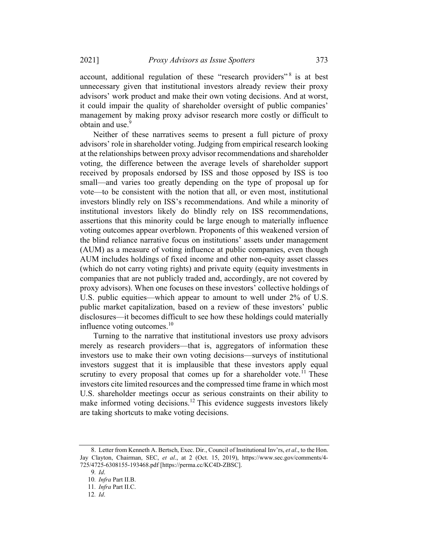account, additional regulation of these "research providers"<sup>8</sup> is at best unnecessary given that institutional investors already review their proxy advisors' work product and make their own voting decisions. And at worst, it could impair the quality of shareholder oversight of public companies' management by making proxy advisor research more costly or difficult to obtain and use.<sup>9</sup>

Neither of these narratives seems to present a full picture of proxy advisors' role in shareholder voting. Judging from empirical research looking at the relationships between proxy advisor recommendations and shareholder voting, the difference between the average levels of shareholder support received by proposals endorsed by ISS and those opposed by ISS is too small—and varies too greatly depending on the type of proposal up for vote—to be consistent with the notion that all, or even most, institutional investors blindly rely on ISS's recommendations. And while a minority of institutional investors likely do blindly rely on ISS recommendations, assertions that this minority could be large enough to materially influence voting outcomes appear overblown. Proponents of this weakened version of the blind reliance narrative focus on institutions' assets under management (AUM) as a measure of voting influence at public companies, even though AUM includes holdings of fixed income and other non-equity asset classes (which do not carry voting rights) and private equity (equity investments in companies that are not publicly traded and, accordingly, are not covered by proxy advisors). When one focuses on these investors' collective holdings of U.S. public equities—which appear to amount to well under 2% of U.S. public market capitalization, based on a review of these investors' public disclosures—it becomes difficult to see how these holdings could materially influence voting outcomes. $10$ 

Turning to the narrative that institutional investors use proxy advisors merely as research providers—that is, aggregators of information these investors use to make their own voting decisions—surveys of institutional investors suggest that it is implausible that these investors apply equal scrutiny to every proposal that comes up for a shareholder vote.<sup> $11$ </sup> These investors cite limited resources and the compressed time frame in which most U.S. shareholder meetings occur as serious constraints on their ability to make informed voting decisions.<sup>12</sup> This evidence suggests investors likely are taking shortcuts to make voting decisions.

<sup>8.</sup> Letter from Kenneth A. Bertsch, Exec. Dir., Council of Institutional Inv'rs, et al., to the Hon. Jay Clayton, Chairman, SEC, et al., at 2 (Oct. 15, 2019), https://www.sec.gov/comments/4-725/4725-6308155-193468.pdf [https://perma.cc/KC4D-ZBSC].

<sup>9</sup>. Id.

<sup>10</sup>. Infra Part II.B.

<sup>11</sup>. Infra Part II.C.

<sup>12</sup>. Id.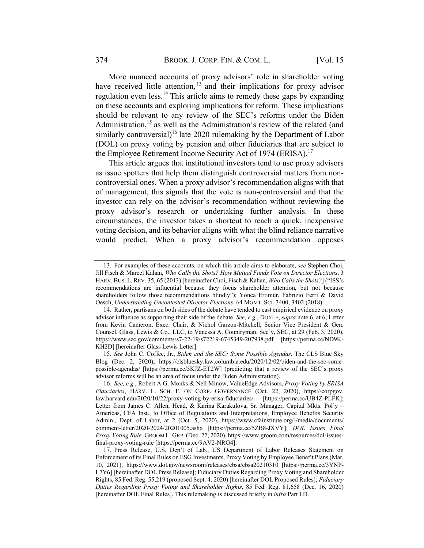More nuanced accounts of proxy advisors' role in shareholder voting have received little attention,  $13$  and their implications for proxy advisor regulation even less.<sup>14</sup> This article aims to remedy these gaps by expanding on these accounts and exploring implications for reform. These implications should be relevant to any review of the SEC's reforms under the Biden Administration,<sup>15</sup> as well as the Administration's review of the related (and similarly controversial)<sup>16</sup> late 2020 rulemaking by the Department of Labor (DOL) on proxy voting by pension and other fiduciaries that are subject to the Employee Retirement Income Security Act of 1974 (ERISA).<sup>17</sup>

This article argues that institutional investors tend to use proxy advisors as issue spotters that help them distinguish controversial matters from noncontroversial ones. When a proxy advisor's recommendation aligns with that of management, this signals that the vote is non-controversial and that the investor can rely on the advisor's recommendation without reviewing the proxy advisor's research or undertaking further analysis. In these circumstances, the investor takes a shortcut to reach a quick, inexpensive voting decision, and its behavior aligns with what the blind reliance narrative would predict. When a proxy advisor's recommendation opposes

<sup>13.</sup> For examples of these accounts, on which this article aims to elaborate, see Stephen Choi, Jill Fisch & Marcel Kahan, Who Calls the Shots? How Mutual Funds Vote on Director Elections, 3 HARV. BUS. L. REV. 35, 65 (2013) [hereinafter Choi, Fisch & Kahan, Who Calls the Shots?] ("ISS's recommendations are influential because they focus shareholder attention, but not because shareholders follow those recommendations blindly"); Yonca Ertimur, Fabrizio Ferri & David Oesch, Understanding Uncontested Director Elections, 64 MGMT. SCI. 3400, 3402 (2018).

<sup>14.</sup> Rather, partisans on both sides of the debate have tended to cast empirical evidence on proxy advisor influence as supporting their side of the debate. See, e.g., DOYLE, supra note 6, at 6; Letter from Kevin Cameron, Exec. Chair, & Nichol Garzon-Mitchell, Senior Vice President & Gen. Counsel, Glass, Lewis & Co., LLC, to Vanessa A. Countryman, Sec'y, SEC, at 29 (Feb. 3, 2020), https://www.sec.gov/comments/s7-22-19/s72219-6745349-207938.pdf [https://perma.cc/ND9K-KH2D] [hereinafter Glass Lewis Letter].

<sup>15.</sup> See John C. Coffee, Jr., Biden and the SEC: Some Possible Agendas, The CLS Blue Sky Blog (Dec. 2, 2020), https://clsbluesky.law.columbia.edu/2020/12/02/biden-and-the-sec-somepossible-agendas/ [https://perma.cc/5KJZ-ET2W] (predicting that a review of the SEC's proxy advisor reforms will be an area of focus under the Biden Administration).

<sup>16</sup>. See, e.g., Robert A.G. Monks & Nell Minow, ValueEdge Advisors, Proxy Voting by ERISA Fiduciaries, HARV. L. SCH. F. ON CORP. GOVERNANCE (Oct. 22, 2020), https://corpgov. law.harvard.edu/2020/10/22/proxy-voting-by-erisa-fiduciaries/ [https://perma.cc/UB4Z-PLFK]; Letter from James C. Allen, Head, & Karina Karakulova, Sr. Manager, Capital Mkts. Pol'y – Americas, CFA Inst., to Office of Regulations and Interpretations, Employee Benefits Security Admin., Dept. of Labor, at 2 (Oct. 5, 2020), https://www.cfainstitute.org/-/media/documents/ comment-letter/2020-2024/20201005.ashx [https://perma.cc/5ZB8-JXVY]; DOL Issues Final Proxy Voting Rule, GROOM L. GRP. (Dec. 22, 2020), https://www.groom.com/resources/dol-issuesfinal-proxy-voting-rule [https://perma.cc/9AV2-NRG4].

<sup>17.</sup> Press Release, U.S. Dep't of Lab., US Department of Labor Releases Statement on Enforcement of its Final Rules on ESG Investments, Proxy Voting by Employee Benefit Plans (Mar. 10, 2021), https://www.dol.gov/newsroom/releases/ebsa/ebsa20210310 [https://perma.cc/3YNP-L7Y6] [hereinafter DOL Press Release]; Fiduciary Duties Regarding Proxy Voting and Shareholder Rights, 85 Fed. Reg. 55,219 (proposed Sept. 4, 2020) [hereinafter DOL Proposed Rules]; Fiduciary Duties Regarding Proxy Voting and Shareholder Rights, 85 Fed. Reg. 81,658 (Dec. 16, 2020) [hereinafter DOL Final Rules]. This rulemaking is discussed briefly in infra Part I.D.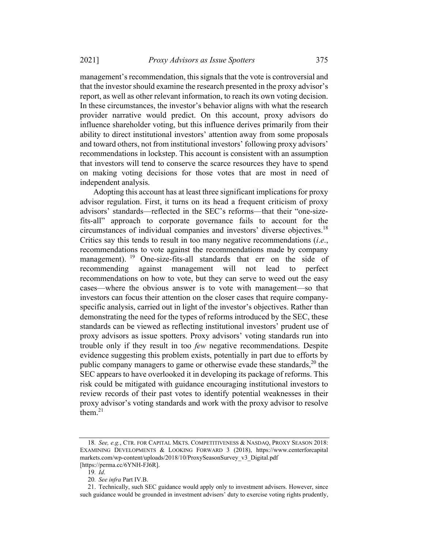management's recommendation, thissignals that the vote is controversial and that the investor should examine the research presented in the proxy advisor's report, as well as other relevant information, to reach its own voting decision. In these circumstances, the investor's behavior aligns with what the research provider narrative would predict. On this account, proxy advisors do influence shareholder voting, but this influence derives primarily from their ability to direct institutional investors' attention away from some proposals and toward others, not from institutional investors' following proxy advisors' recommendations in lockstep. This account is consistent with an assumption that investors will tend to conserve the scarce resources they have to spend on making voting decisions for those votes that are most in need of independent analysis.

Adopting this account has at least three significant implications for proxy advisor regulation. First, it turns on its head a frequent criticism of proxy advisors' standards—reflected in the SEC's reforms—that their "one-sizefits-all" approach to corporate governance fails to account for the circumstances of individual companies and investors' diverse objectives.<sup>18</sup> Critics say this tends to result in too many negative recommendations (i.e., recommendations to vote against the recommendations made by company management). <sup>19</sup> One-size-fits-all standards that err on the side of recommending against management will not lead to perfect recommendations on how to vote, but they can serve to weed out the easy cases—where the obvious answer is to vote with management—so that investors can focus their attention on the closer cases that require companyspecific analysis, carried out in light of the investor's objectives. Rather than demonstrating the need for the types of reforms introduced by the SEC, these standards can be viewed as reflecting institutional investors' prudent use of proxy advisors as issue spotters. Proxy advisors' voting standards run into trouble only if they result in too few negative recommendations. Despite evidence suggesting this problem exists, potentially in part due to efforts by public company managers to game or otherwise evade these standards,  $2^{0}$  the SEC appears to have overlooked it in developing its package of reforms. This risk could be mitigated with guidance encouraging institutional investors to review records of their past votes to identify potential weaknesses in their proxy advisor's voting standards and work with the proxy advisor to resolve  $th$ <sub>em.</sub> $21$ 

<sup>18</sup>. See, e.g., CTR. FOR CAPITAL MKTS. COMPETITIVENESS & NASDAQ, PROXY SEASON 2018: EXAMINING DEVELOPMENTS & LOOKING FORWARD 3 (2018), https://www.centerforcapital markets.com/wp-content/uploads/2018/10/ProxySeasonSurvey\_v3\_Digital.pdf [https://perma.cc/6YNH-FJ6R].

 $19.$  Id.

<sup>20</sup>. See infra Part IV.B.

<sup>21.</sup> Technically, such SEC guidance would apply only to investment advisers. However, since such guidance would be grounded in investment advisers' duty to exercise voting rights prudently,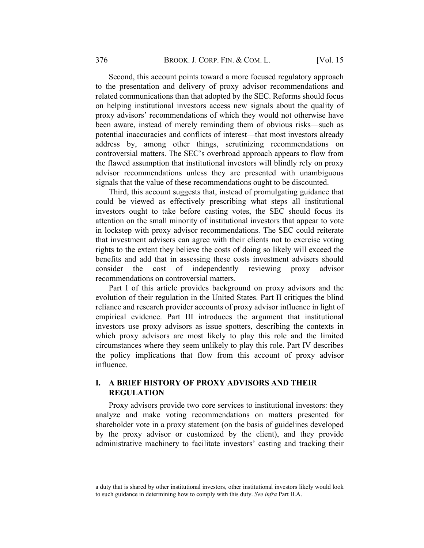Second, this account points toward a more focused regulatory approach to the presentation and delivery of proxy advisor recommendations and related communications than that adopted by the SEC. Reforms should focus on helping institutional investors access new signals about the quality of proxy advisors' recommendations of which they would not otherwise have been aware, instead of merely reminding them of obvious risks—such as potential inaccuracies and conflicts of interest—that most investors already address by, among other things, scrutinizing recommendations on controversial matters. The SEC's overbroad approach appears to flow from the flawed assumption that institutional investors will blindly rely on proxy advisor recommendations unless they are presented with unambiguous signals that the value of these recommendations ought to be discounted.

Third, this account suggests that, instead of promulgating guidance that could be viewed as effectively prescribing what steps all institutional investors ought to take before casting votes, the SEC should focus its attention on the small minority of institutional investors that appear to vote in lockstep with proxy advisor recommendations. The SEC could reiterate that investment advisers can agree with their clients not to exercise voting rights to the extent they believe the costs of doing so likely will exceed the benefits and add that in assessing these costs investment advisers should consider the cost of independently reviewing proxy advisor recommendations on controversial matters.

Part I of this article provides background on proxy advisors and the evolution of their regulation in the United States. Part II critiques the blind reliance and research provider accounts of proxy advisor influence in light of empirical evidence. Part III introduces the argument that institutional investors use proxy advisors as issue spotters, describing the contexts in which proxy advisors are most likely to play this role and the limited circumstances where they seem unlikely to play this role. Part IV describes the policy implications that flow from this account of proxy advisor influence.

## I. A BRIEF HISTORY OF PROXY ADVISORS AND THEIR REGULATION

Proxy advisors provide two core services to institutional investors: they analyze and make voting recommendations on matters presented for shareholder vote in a proxy statement (on the basis of guidelines developed by the proxy advisor or customized by the client), and they provide administrative machinery to facilitate investors' casting and tracking their

a duty that is shared by other institutional investors, other institutional investors likely would look to such guidance in determining how to comply with this duty. See infra Part II.A.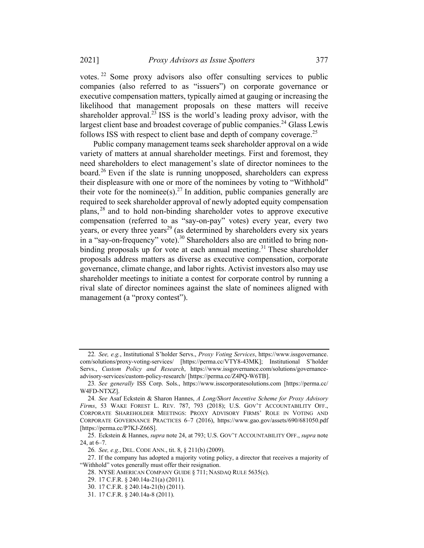votes. <sup>22</sup> Some proxy advisors also offer consulting services to public companies (also referred to as "issuers") on corporate governance or executive compensation matters, typically aimed at gauging or increasing the likelihood that management proposals on these matters will receive shareholder approval.<sup>23</sup> ISS is the world's leading proxy advisor, with the largest client base and broadest coverage of public companies.<sup>24</sup> Glass Lewis follows ISS with respect to client base and depth of company coverage.<sup>25</sup>

Public company management teams seek shareholder approval on a wide variety of matters at annual shareholder meetings. First and foremost, they need shareholders to elect management's slate of director nominees to the board.<sup>26</sup> Even if the slate is running unopposed, shareholders can express their displeasure with one or more of the nominees by voting to "Withhold" their vote for the nominee(s).<sup>27</sup> In addition, public companies generally are required to seek shareholder approval of newly adopted equity compensation plans, <sup>28</sup> and to hold non-binding shareholder votes to approve executive compensation (referred to as "say-on-pay" votes) every year, every two years, or every three years<sup>29</sup> (as determined by shareholders every six years in a "say-on-frequency" vote).<sup>30</sup> Shareholders also are entitled to bring nonbinding proposals up for vote at each annual meeting.<sup>31</sup> These shareholder proposals address matters as diverse as executive compensation, corporate governance, climate change, and labor rights. Activist investors also may use shareholder meetings to initiate a contest for corporate control by running a rival slate of director nominees against the slate of nominees aligned with management (a "proxy contest").

<sup>22</sup>. See, e.g., Institutional S'holder Servs., Proxy Voting Services, https://www.issgovernance. com/solutions/proxy-voting-services/ [https://perma.cc/VTY8-43MK]; Institutional S'holder Servs., Custom Policy and Research, https://www.issgovernance.com/solutions/governanceadvisory-services/custom-policy-research/ [https://perma.cc/Z4PQ-W6TB].

<sup>23</sup>. See generally ISS Corp. Sols., https://www.isscorporatesolutions.com [https://perma.cc/ W4FD-NTXZ].

<sup>24</sup>. See Asaf Eckstein & Sharon Hannes, A Long/Short Incentive Scheme for Proxy Advisory Firms, 53 WAKE FOREST L. REV. 787, 793 (2018); U.S. GOV'T ACCOUNTABILITY OFF., CORPORATE SHAREHOLDER MEETINGS: PROXY ADVISORY FIRMS' ROLE IN VOTING AND CORPORATE GOVERNANCE PRACTICES 6–7 (2016), https://www.gao.gov/assets/690/681050.pdf [https://perma.cc/P7KJ-Z66S].

<sup>25.</sup> Eckstein & Hannes, *supra* note 24, at 793; U.S. GOV'T ACCOUNTABILITY OFF., *supra* note 24, at 6–7.

<sup>26</sup>. See, e.g., DEL. CODE ANN., tit. 8, § 211(b) (2009).

<sup>27.</sup> If the company has adopted a majority voting policy, a director that receives a majority of "Withhold" votes generally must offer their resignation.

<sup>28.</sup> NYSE AMERICAN COMPANY GUIDE § 711; NASDAQ RULE 5635(c).

<sup>29.</sup> 17 C.F.R. § 240.14a-21(a) (2011).

<sup>30.</sup> 17 C.F.R. § 240.14a-21(b) (2011).

<sup>31.</sup> 17 C.F.R. § 240.14a-8 (2011).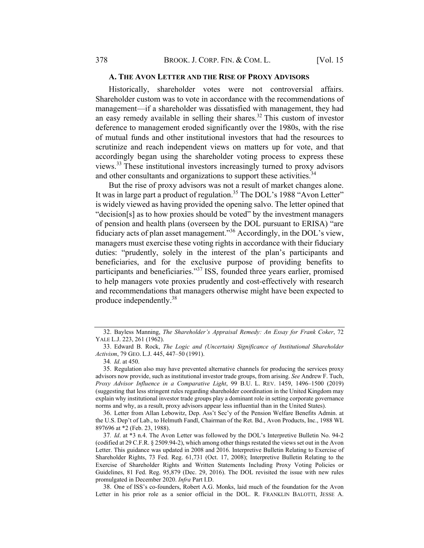#### A. THE AVON LETTER AND THE RISE OF PROXY ADVISORS

Historically, shareholder votes were not controversial affairs. Shareholder custom was to vote in accordance with the recommendations of management—if a shareholder was dissatisfied with management, they had an easy remedy available in selling their shares.<sup>32</sup> This custom of investor deference to management eroded significantly over the 1980s, with the rise of mutual funds and other institutional investors that had the resources to scrutinize and reach independent views on matters up for vote, and that accordingly began using the shareholder voting process to express these views.<sup>33</sup> These institutional investors increasingly turned to proxy advisors and other consultants and organizations to support these activities.<sup>34</sup>

But the rise of proxy advisors was not a result of market changes alone. It was in large part a product of regulation.<sup>35</sup> The DOL's 1988 "Avon Letter" is widely viewed as having provided the opening salvo. The letter opined that "decision[s] as to how proxies should be voted" by the investment managers of pension and health plans (overseen by the DOL pursuant to ERISA) "are fiduciary acts of plan asset management."36 Accordingly, in the DOL's view, managers must exercise these voting rights in accordance with their fiduciary duties: "prudently, solely in the interest of the plan's participants and beneficiaries, and for the exclusive purpose of providing benefits to participants and beneficiaries."37 ISS, founded three years earlier, promised to help managers vote proxies prudently and cost-effectively with research and recommendations that managers otherwise might have been expected to produce independently.<sup>38</sup>

36. Letter from Allan Lebowitz, Dep. Ass't Sec'y of the Pension Welfare Benefits Admin. at the U.S. Dep't of Lab., to Helmuth Fandl, Chairman of the Ret. Bd., Avon Products, Inc., 1988 WL 897696 at \*2 (Feb. 23, 1988).

38. One of ISS's co-founders, Robert A.G. Monks, laid much of the foundation for the Avon Letter in his prior role as a senior official in the DOL. R. FRANKLIN BALOTTI, JESSE A.

<sup>32.</sup> Bayless Manning, The Shareholder's Appraisal Remedy: An Essay for Frank Coker, 72 YALE L.J. 223, 261 (1962).

<sup>33.</sup> Edward B. Rock, The Logic and (Uncertain) Significance of Institutional Shareholder Activism, 79 GEO. L.J. 445, 447–50 (1991).

<sup>34</sup>. Id. at 450.

<sup>35.</sup> Regulation also may have prevented alternative channels for producing the services proxy advisors now provide, such as institutional investor trade groups, from arising. See Andrew F. Tuch, Proxy Advisor Influence in a Comparative Light, 99 B.U. L. REV. 1459, 1496–1500 (2019) (suggesting that less stringent rules regarding shareholder coordination in the United Kingdom may explain why institutional investor trade groups play a dominant role in setting corporate governance norms and why, as a result, proxy advisors appear less influential than in the United States).

<sup>37</sup>. Id. at \*3 n.4. The Avon Letter was followed by the DOL's Interpretive Bulletin No. 94-2 (codified at 29 C.F.R. § 2509.94-2), which among other things restated the views set out in the Avon Letter. This guidance was updated in 2008 and 2016. Interpretive Bulletin Relating to Exercise of Shareholder Rights, 73 Fed. Reg. 61,731 (Oct. 17, 2008); Interpretive Bulletin Relating to the Exercise of Shareholder Rights and Written Statements Including Proxy Voting Policies or Guidelines, 81 Fed. Reg. 95,879 (Dec. 29, 2016). The DOL revisited the issue with new rules promulgated in December 2020. Infra Part I.D.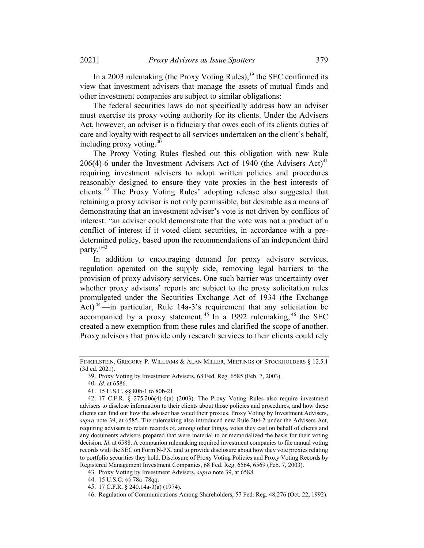In a 2003 rulemaking (the Proxy Voting Rules),<sup>39</sup> the SEC confirmed its view that investment advisers that manage the assets of mutual funds and other investment companies are subject to similar obligations:

The federal securities laws do not specifically address how an adviser must exercise its proxy voting authority for its clients. Under the Advisers Act, however, an adviser is a fiduciary that owes each of its clients duties of care and loyalty with respect to all services undertaken on the client's behalf, including proxy voting.40

The Proxy Voting Rules fleshed out this obligation with new Rule 206(4)-6 under the Investment Advisers Act of 1940 (the Advisers Act)<sup>41</sup> requiring investment advisers to adopt written policies and procedures reasonably designed to ensure they vote proxies in the best interests of clients. <sup>42</sup> The Proxy Voting Rules' adopting release also suggested that retaining a proxy advisor is not only permissible, but desirable as a means of demonstrating that an investment adviser's vote is not driven by conflicts of interest: "an adviser could demonstrate that the vote was not a product of a conflict of interest if it voted client securities, in accordance with a predetermined policy, based upon the recommendations of an independent third party."<sup>43</sup>

In addition to encouraging demand for proxy advisory services, regulation operated on the supply side, removing legal barriers to the provision of proxy advisory services. One such barrier was uncertainty over whether proxy advisors' reports are subject to the proxy solicitation rules promulgated under the Securities Exchange Act of 1934 (the Exchange Act)<sup>44</sup>—in particular, Rule 14a-3's requirement that any solicitation be accompanied by a proxy statement.<sup>45</sup> In a 1992 rulemaking,  $46$  the SEC created a new exemption from these rules and clarified the scope of another. Proxy advisors that provide only research services to their clients could rely

FINKELSTEIN, GREGORY P. WILLIAMS & ALAN MILLER, MEETINGS OF STOCKHOLDERS § 12.5.1 (3d ed. 2021).

<sup>39.</sup> Proxy Voting by Investment Advisers, 68 Fed. Reg. 6585 (Feb. 7, 2003).

<sup>40</sup>. Id. at 6586.

<sup>41.</sup> 15 U.S.C. §§ 80b-1 to 80b-21.

<sup>42.</sup> 17 C.F.R. § 275.206(4)-6(a) (2003). The Proxy Voting Rules also require investment advisers to disclose information to their clients about those policies and procedures, and how these clients can find out how the adviser has voted their proxies. Proxy Voting by Investment Advisers, supra note 39, at 6585. The rulemaking also introduced new Rule 204-2 under the Advisers Act, requiring advisers to retain records of, among other things, votes they cast on behalf of clients and any documents advisers prepared that were material to or memorialized the basis for their voting decision. Id. at 6588. A companion rulemaking required investment companies to file annual voting records with the SEC on Form N-PX, and to provide disclosure about how they vote proxies relating to portfolio securities they hold. Disclosure of Proxy Voting Policies and Proxy Voting Records by Registered Management Investment Companies, 68 Fed. Reg. 6564, 6569 (Feb. 7, 2003).

<sup>43.</sup> Proxy Voting by Investment Advisers, supra note 39, at 6588.

<sup>44.</sup> 15 U.S.C. §§ 78a–78qq.

<sup>45.</sup> 17 C.F.R. § 240.14a-3(a) (1974).

<sup>46.</sup> Regulation of Communications Among Shareholders, 57 Fed. Reg. 48,276 (Oct. 22, 1992).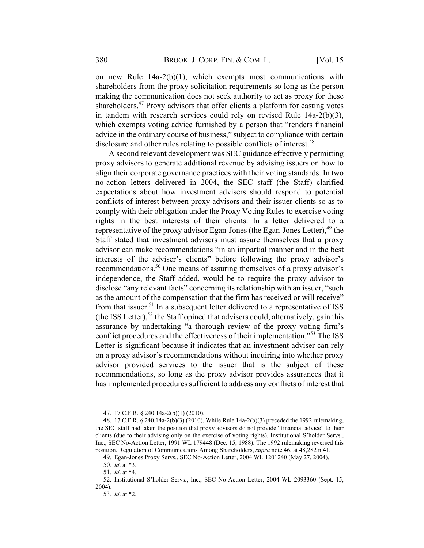on new Rule 14a-2(b)(1), which exempts most communications with shareholders from the proxy solicitation requirements so long as the person making the communication does not seek authority to act as proxy for these shareholders.<sup>47</sup> Proxy advisors that offer clients a platform for casting votes in tandem with research services could rely on revised Rule 14a-2(b)(3), which exempts voting advice furnished by a person that "renders financial advice in the ordinary course of business," subject to compliance with certain disclosure and other rules relating to possible conflicts of interest.<sup>48</sup>

A second relevant development was SEC guidance effectively permitting proxy advisors to generate additional revenue by advising issuers on how to align their corporate governance practices with their voting standards. In two no-action letters delivered in 2004, the SEC staff (the Staff) clarified expectations about how investment advisers should respond to potential conflicts of interest between proxy advisors and their issuer clients so as to comply with their obligation under the Proxy Voting Rules to exercise voting rights in the best interests of their clients. In a letter delivered to a representative of the proxy advisor Egan-Jones (the Egan-Jones Letter),  $49$  the Staff stated that investment advisers must assure themselves that a proxy advisor can make recommendations "in an impartial manner and in the best interests of the adviser's clients" before following the proxy advisor's recommendations.50 One means of assuring themselves of a proxy advisor's independence, the Staff added, would be to require the proxy advisor to disclose "any relevant facts" concerning its relationship with an issuer, "such as the amount of the compensation that the firm has received or will receive" from that issuer.<sup>51</sup> In a subsequent letter delivered to a representative of ISS (the ISS Letter),<sup>52</sup> the Staff opined that advisers could, alternatively, gain this assurance by undertaking "a thorough review of the proxy voting firm's conflict procedures and the effectiveness of their implementation."<sup>53</sup> The ISS Letter is significant because it indicates that an investment adviser can rely on a proxy advisor's recommendations without inquiring into whether proxy advisor provided services to the issuer that is the subject of these recommendations, so long as the proxy advisor provides assurances that it has implemented procedures sufficient to address any conflicts of interest that

51. Id. at \*4.

<sup>47.</sup> 17 C.F.R. § 240.14a-2(b)(1) (2010).

<sup>48.</sup> 17 C.F.R. § 240.14a-2(b)(3) (2010). While Rule 14a-2(b)(3) preceded the 1992 rulemaking, the SEC staff had taken the position that proxy advisors do not provide "financial advice" to their clients (due to their advising only on the exercise of voting rights). Institutional S'holder Servs., Inc., SEC No-Action Letter, 1991 WL 179448 (Dec. 15, 1988). The 1992 rulemaking reversed this position. Regulation of Communications Among Shareholders, supra note 46, at 48,282 n.41.

<sup>49.</sup> Egan-Jones Proxy Servs., SEC No-Action Letter, 2004 WL 1201240 (May 27, 2004).

<sup>50</sup>. Id. at \*3.

<sup>52.</sup> Institutional S'holder Servs., Inc., SEC No-Action Letter, 2004 WL 2093360 (Sept. 15, 2004).

<sup>53</sup>. Id. at \*2.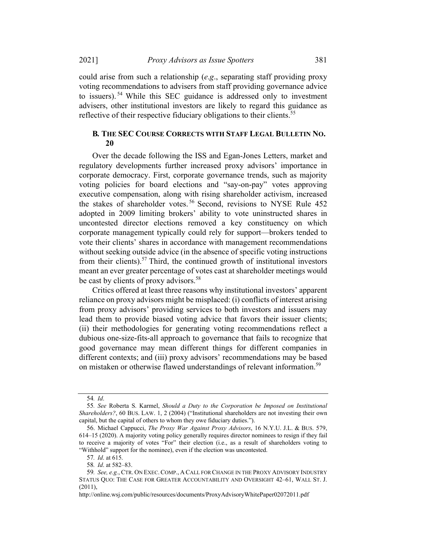could arise from such a relationship (e.g., separating staff providing proxy voting recommendations to advisers from staff providing governance advice to issuers). <sup>54</sup> While this SEC guidance is addressed only to investment advisers, other institutional investors are likely to regard this guidance as reflective of their respective fiduciary obligations to their clients.<sup>55</sup>

## B. THE SEC COURSE CORRECTS WITH STAFF LEGAL BULLETIN NO. 20

Over the decade following the ISS and Egan-Jones Letters, market and regulatory developments further increased proxy advisors' importance in corporate democracy. First, corporate governance trends, such as majority voting policies for board elections and "say-on-pay" votes approving executive compensation, along with rising shareholder activism, increased the stakes of shareholder votes.<sup>56</sup> Second, revisions to NYSE Rule 452 adopted in 2009 limiting brokers' ability to vote uninstructed shares in uncontested director elections removed a key constituency on which corporate management typically could rely for support—brokers tended to vote their clients' shares in accordance with management recommendations without seeking outside advice (in the absence of specific voting instructions from their clients).<sup>57</sup> Third, the continued growth of institutional investors meant an ever greater percentage of votes cast at shareholder meetings would be cast by clients of proxy advisors.<sup>58</sup>

Critics offered at least three reasons why institutional investors' apparent reliance on proxy advisors might be misplaced: (i) conflicts of interest arising from proxy advisors' providing services to both investors and issuers may lead them to provide biased voting advice that favors their issuer clients; (ii) their methodologies for generating voting recommendations reflect a dubious one-size-fits-all approach to governance that fails to recognize that good governance may mean different things for different companies in different contexts; and (iii) proxy advisors' recommendations may be based on mistaken or otherwise flawed understandings of relevant information.<sup>59</sup>

<sup>54</sup>. Id.

<sup>55</sup>. See Roberta S. Karmel, Should a Duty to the Corporation be Imposed on Institutional Shareholders?, 60 BUS. LAW. 1, 2 (2004) ("Institutional shareholders are not investing their own capital, but the capital of others to whom they owe fiduciary duties.").

<sup>56.</sup> Michael Cappucci, The Proxy War Against Proxy Advisors, 16 N.Y.U. J.L. & BUS. 579, 614–15 (2020). A majority voting policy generally requires director nominees to resign if they fail to receive a majority of votes "For" their election (i.e., as a result of shareholders voting to "Withhold" support for the nominee), even if the election was uncontested.

<sup>57</sup>. Id. at 615.

<sup>58</sup>. Id. at 582–83.

<sup>59.</sup> See, e.g., CTR. ON EXEC. COMP., A CALL FOR CHANGE IN THE PROXY ADVISORY INDUSTRY STATUS QUO: THE CASE FOR GREATER ACCOUNTABILITY AND OVERSIGHT 42–61, WALL ST. J. (2011),

http://online.wsj.com/public/resources/documents/ProxyAdvisoryWhitePaper02072011.pdf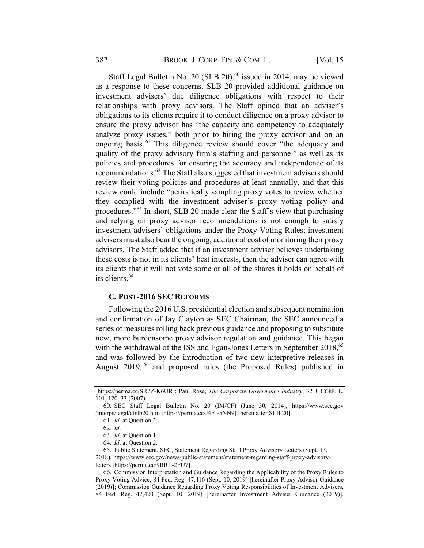Staff Legal Bulletin No. 20 (SLB 20), $^{60}$  issued in 2014, may be viewed as a response to these concerns. SLB 20 provided additional guidance on investment advisers' due diligence obligations with respect to their relationships with proxy advisors. The Staff opined that an adviser's obligations to its clients require it to conduct diligence on a proxy advisor to ensure the proxy advisor has "the capacity and competency to adequately analyze proxy issues," both prior to hiring the proxy advisor and on an ongoing basis.<sup>61</sup> This diligence review should cover "the adequacy and quality of the proxy advisory firm's staffing and personnel" as well as its policies and procedures for ensuring the accuracy and independence of its recommendations.62 The Staff also suggested that investment advisers should review their voting policies and procedures at least annually, and that this review could include "periodically sampling proxy votes to review whether they complied with the investment adviser's proxy voting policy and procedures."63 In short, SLB 20 made clear the Staff's view that purchasing and relying on proxy advisor recommendations is not enough to satisfy investment advisers' obligations under the Proxy Voting Rules; investment advisers must also bear the ongoing, additional cost of monitoring their proxy advisors. The Staff added that if an investment adviser believes undertaking these costs is not in its clients' best interests, then the adviser can agree with its clients that it will not vote some or all of the shares it holds on behalf of its clients.<sup>64</sup>

#### C. POST-2016 SEC REFORMS

Following the 2016 U.S. presidential election and subsequent nomination and confirmation of Jay Clayton as SEC Chairman, the SEC announced a series of measures rolling back previous guidance and proposing to substitute new, more burdensome proxy advisor regulation and guidance. This began with the withdrawal of the ISS and Egan-Jones Letters in September 2018,<sup>65</sup> and was followed by the introduction of two new interpretive releases in August 2019, <sup>66</sup> and proposed rules (the Proposed Rules) published in

<sup>[</sup>https://perma.cc/SR7Z-K6UR]; Paul Rose, The Corporate Governance Industry, 32 J. CORP. L. 101, 120–33 (2007).

<sup>60.</sup> SEC Staff Legal Bulletin No. 20 (IM/CF) (June 30, 2014), https://www.sec.gov /interps/legal/cfslb20.htm [https://perma.cc/J4FJ-5NN9] [hereinafter SLB 20].

<sup>61</sup>. Id. at Question 3.

<sup>62</sup>. Id.

<sup>63</sup>. Id. at Question 1.

<sup>64</sup>. Id. at Question 2.

<sup>65.</sup> Public Statement, SEC, Statement Regarding Staff Proxy Advisory Letters (Sept. 13,

<sup>2018),</sup> https://www.sec.gov/news/public-statement/statement-regarding-staff-proxy-advisoryletters [https://perma.cc/9RRL-2FU7].

<sup>66.</sup> Commission Interpretation and Guidance Regarding the Applicability of the Proxy Rules to Proxy Voting Advice, 84 Fed. Reg. 47,416 (Sept. 10, 2019) [hereinafter Proxy Advisor Guidance (2019)]; Commission Guidance Regarding Proxy Voting Responsibilities of Investment Advisers, 84 Fed. Reg. 47,420 (Sept. 10, 2019) [hereinafter Investment Adviser Guidance (2019)].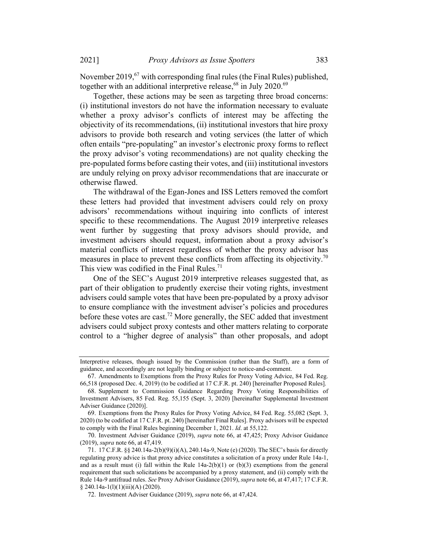November 2019, $67$  with corresponding final rules (the Final Rules) published, together with an additional interpretive release,<sup>68</sup> in July 2020.<sup>69</sup>

Together, these actions may be seen as targeting three broad concerns: (i) institutional investors do not have the information necessary to evaluate whether a proxy advisor's conflicts of interest may be affecting the objectivity of its recommendations, (ii) institutional investors that hire proxy advisors to provide both research and voting services (the latter of which often entails "pre-populating" an investor's electronic proxy forms to reflect the proxy advisor's voting recommendations) are not quality checking the pre-populated forms before casting their votes, and (iii) institutional investors are unduly relying on proxy advisor recommendations that are inaccurate or otherwise flawed.

The withdrawal of the Egan-Jones and ISS Letters removed the comfort these letters had provided that investment advisers could rely on proxy advisors' recommendations without inquiring into conflicts of interest specific to these recommendations. The August 2019 interpretive releases went further by suggesting that proxy advisors should provide, and investment advisers should request, information about a proxy advisor's material conflicts of interest regardless of whether the proxy advisor has measures in place to prevent these conflicts from affecting its objectivity.<sup>70</sup> This view was codified in the Final Rules.<sup>71</sup>

One of the SEC's August 2019 interpretive releases suggested that, as part of their obligation to prudently exercise their voting rights, investment advisers could sample votes that have been pre-populated by a proxy advisor to ensure compliance with the investment adviser's policies and procedures before these votes are cast.<sup>72</sup> More generally, the SEC added that investment advisers could subject proxy contests and other matters relating to corporate control to a "higher degree of analysis" than other proposals, and adopt

Interpretive releases, though issued by the Commission (rather than the Staff), are a form of guidance, and accordingly are not legally binding or subject to notice-and-comment.

<sup>67.</sup> Amendments to Exemptions from the Proxy Rules for Proxy Voting Advice, 84 Fed. Reg. 66,518 (proposed Dec. 4, 2019) (to be codified at 17 C.F.R. pt. 240) [hereinafter Proposed Rules].

<sup>68.</sup> Supplement to Commission Guidance Regarding Proxy Voting Responsibilities of Investment Advisers, 85 Fed. Reg. 55,155 (Sept. 3, 2020) [hereinafter Supplemental Investment Adviser Guidance (2020)].

<sup>69.</sup> Exemptions from the Proxy Rules for Proxy Voting Advice, 84 Fed. Reg. 55,082 (Sept. 3, 2020) (to be codified at 17 C.F.R. pt. 240) [hereinafter Final Rules]. Proxy advisors will be expected to comply with the Final Rules beginning December 1, 2021. Id. at 55,122.

<sup>70.</sup> Investment Adviser Guidance (2019), supra note 66, at 47,425; Proxy Advisor Guidance (2019), supra note 66, at 47,419.

<sup>71.</sup> 17 C.F.R. §§ 240.14a-2(b)(9)(i)(A), 240.14a-9, Note (e) (2020). The SEC's basis for directly regulating proxy advice is that proxy advice constitutes a solicitation of a proxy under Rule 14a-1, and as a result must (i) fall within the Rule  $14a-2(b)(1)$  or  $(b)(3)$  exemptions from the general requirement that such solicitations be accompanied by a proxy statement, and (ii) comply with the Rule 14a-9 antifraud rules. See Proxy Advisor Guidance (2019), supra note 66, at 47,417; 17 C.F.R. § 240.14a-1(l)(1)(iii)(A) (2020).

<sup>72.</sup> Investment Adviser Guidance (2019), supra note 66, at 47,424.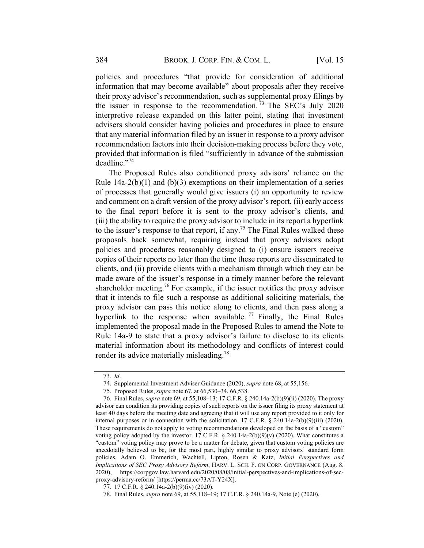policies and procedures "that provide for consideration of additional information that may become available" about proposals after they receive their proxy advisor's recommendation, such as supplemental proxy filings by the issuer in response to the recommendation.  $\frac{73}{13}$  The SEC's July 2020 interpretive release expanded on this latter point, stating that investment advisers should consider having policies and procedures in place to ensure that any material information filed by an issuer in response to a proxy advisor recommendation factors into their decision-making process before they vote, provided that information is filed "sufficiently in advance of the submission deadline."<sup>74</sup>

The Proposed Rules also conditioned proxy advisors' reliance on the Rule  $14a-2(b)(1)$  and  $(b)(3)$  exemptions on their implementation of a series of processes that generally would give issuers (i) an opportunity to review and comment on a draft version of the proxy advisor's report, (ii) early access to the final report before it is sent to the proxy advisor's clients, and (iii) the ability to require the proxy advisor to include in its report a hyperlink to the issuer's response to that report, if any.<sup>75</sup> The Final Rules walked these proposals back somewhat, requiring instead that proxy advisors adopt policies and procedures reasonably designed to (i) ensure issuers receive copies of their reports no later than the time these reports are disseminated to clients, and (ii) provide clients with a mechanism through which they can be made aware of the issuer's response in a timely manner before the relevant shareholder meeting.<sup>76</sup> For example, if the issuer notifies the proxy advisor that it intends to file such a response as additional soliciting materials, the proxy advisor can pass this notice along to clients, and then pass along a hyperlink to the response when available.<sup>77</sup> Finally, the Final Rules implemented the proposal made in the Proposed Rules to amend the Note to Rule 14a-9 to state that a proxy advisor's failure to disclose to its clients material information about its methodology and conflicts of interest could render its advice materially misleading.<sup>78</sup>

<sup>73</sup>. Id.

<sup>74.</sup> Supplemental Investment Adviser Guidance (2020), supra note 68, at 55,156.

<sup>75.</sup> Proposed Rules, supra note 67, at 66,530–34, 66,538.

<sup>76.</sup> Final Rules, supra note 69, at 55,108–13; 17 C.F.R. § 240.14a-2(b)(9)(ii) (2020). The proxy advisor can condition its providing copies of such reports on the issuer filing its proxy statement at least 40 days before the meeting date and agreeing that it will use any report provided to it only for internal purposes or in connection with the solicitation. 17 C.F.R.  $\S$  240.14a-2(b)(9)(iii) (2020). These requirements do not apply to voting recommendations developed on the basis of a "custom" voting policy adopted by the investor. 17 C.F.R.  $\S$  240.14a-2(b)(9)(v) (2020). What constitutes a "custom" voting policy may prove to be a matter for debate, given that custom voting policies are anecdotally believed to be, for the most part, highly similar to proxy advisors' standard form policies. Adam O. Emmerich, Wachtell, Lipton, Rosen & Katz, Initial Perspectives and Implications of SEC Proxy Advisory Reform, HARV. L. SCH. F. ON CORP. GOVERNANCE (Aug. 8, 2020), https://corpgov.law.harvard.edu/2020/08/08/initial-perspectives-and-implications-of-secproxy-advisory-reform/ [https://perma.cc/73AT-Y24X].

<sup>77.</sup> 17 C.F.R. § 240.14a-2(b)(9)(iv) (2020).

<sup>78.</sup> Final Rules, supra note 69, at 55,118–19; 17 C.F.R. § 240.14a-9, Note (e) (2020).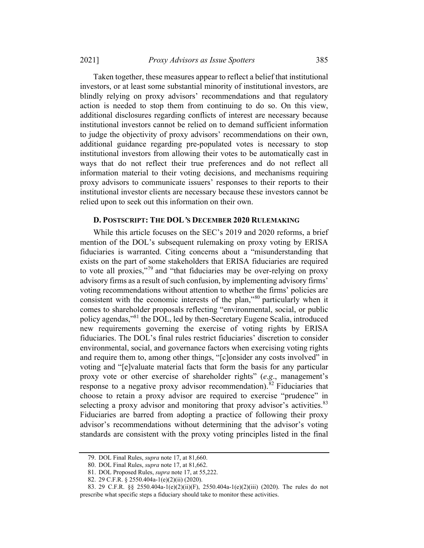2021] Proxy Advisors as Issue Spotters 385

Taken together, these measures appear to reflect a belief that institutional investors, or at least some substantial minority of institutional investors, are blindly relying on proxy advisors' recommendations and that regulatory action is needed to stop them from continuing to do so. On this view, additional disclosures regarding conflicts of interest are necessary because institutional investors cannot be relied on to demand sufficient information to judge the objectivity of proxy advisors' recommendations on their own, additional guidance regarding pre-populated votes is necessary to stop institutional investors from allowing their votes to be automatically cast in ways that do not reflect their true preferences and do not reflect all information material to their voting decisions, and mechanisms requiring proxy advisors to communicate issuers' responses to their reports to their institutional investor clients are necessary because these investors cannot be relied upon to seek out this information on their own.

#### D. POSTSCRIPT: THE DOL'S DECEMBER 2020 RULEMAKING

While this article focuses on the SEC's 2019 and 2020 reforms, a brief mention of the DOL's subsequent rulemaking on proxy voting by ERISA fiduciaries is warranted. Citing concerns about a "misunderstanding that exists on the part of some stakeholders that ERISA fiduciaries are required to vote all proxies,"<sup>79</sup> and "that fiduciaries may be over-relying on proxy advisory firms as a result of such confusion, by implementing advisory firms' voting recommendations without attention to whether the firms' policies are consistent with the economic interests of the plan,"<sup>80</sup> particularly when it comes to shareholder proposals reflecting "environmental, social, or public policy agendas,"81 the DOL, led by then-Secretary Eugene Scalia, introduced new requirements governing the exercise of voting rights by ERISA fiduciaries. The DOL's final rules restrict fiduciaries' discretion to consider environmental, social, and governance factors when exercising voting rights and require them to, among other things, "[c]onsider any costs involved" in voting and "[e]valuate material facts that form the basis for any particular proxy vote or other exercise of shareholder rights" (e.g., management's response to a negative proxy advisor recommendation).<sup>82</sup> Fiduciaries that choose to retain a proxy advisor are required to exercise "prudence" in selecting a proxy advisor and monitoring that proxy advisor's activities.<sup>83</sup> Fiduciaries are barred from adopting a practice of following their proxy advisor's recommendations without determining that the advisor's voting standards are consistent with the proxy voting principles listed in the final

<sup>79.</sup> DOL Final Rules, supra note 17, at 81,660.

<sup>80.</sup> DOL Final Rules, supra note 17, at 81,662.

<sup>81.</sup> DOL Proposed Rules, supra note 17, at 55,222.

<sup>82.</sup> 29 C.F.R. § 2550.404a-1(e)(2)(ii) (2020).

<sup>83.</sup> 29 C.F.R. §§ 2550.404a-1(e)(2)(ii)(F), 2550.404a-1(e)(2)(iii) (2020). The rules do not prescribe what specific steps a fiduciary should take to monitor these activities.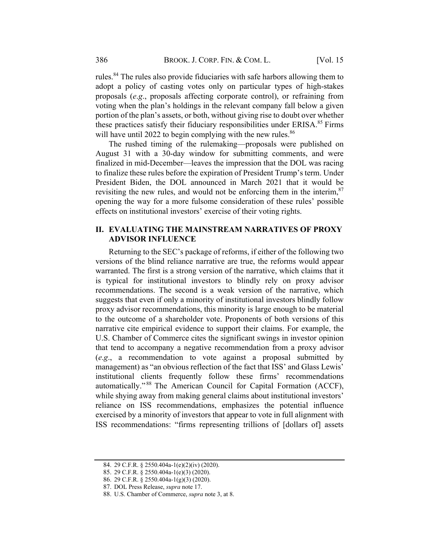rules.<sup>84</sup> The rules also provide fiduciaries with safe harbors allowing them to adopt a policy of casting votes only on particular types of high-stakes proposals (e.g., proposals affecting corporate control), or refraining from voting when the plan's holdings in the relevant company fall below a given portion of the plan's assets, or both, without giving rise to doubt over whether these practices satisfy their fiduciary responsibilities under ERISA.<sup>85</sup> Firms will have until 2022 to begin complying with the new rules.<sup>86</sup>

The rushed timing of the rulemaking—proposals were published on August 31 with a 30-day window for submitting comments, and were finalized in mid-December—leaves the impression that the DOL was racing to finalize these rules before the expiration of President Trump's term. Under President Biden, the DOL announced in March 2021 that it would be revisiting the new rules, and would not be enforcing them in the interim,  $87$ opening the way for a more fulsome consideration of these rules' possible effects on institutional investors' exercise of their voting rights.

## II. EVALUATING THE MAINSTREAM NARRATIVES OF PROXY ADVISOR INFLUENCE

Returning to the SEC's package of reforms, if either of the following two versions of the blind reliance narrative are true, the reforms would appear warranted. The first is a strong version of the narrative, which claims that it is typical for institutional investors to blindly rely on proxy advisor recommendations. The second is a weak version of the narrative, which suggests that even if only a minority of institutional investors blindly follow proxy advisor recommendations, this minority is large enough to be material to the outcome of a shareholder vote. Proponents of both versions of this narrative cite empirical evidence to support their claims. For example, the U.S. Chamber of Commerce cites the significant swings in investor opinion that tend to accompany a negative recommendation from a proxy advisor (e.g., a recommendation to vote against a proposal submitted by management) as "an obvious reflection of the fact that ISS' and Glass Lewis' institutional clients frequently follow these firms' recommendations automatically." <sup>88</sup> The American Council for Capital Formation (ACCF), while shying away from making general claims about institutional investors' reliance on ISS recommendations, emphasizes the potential influence exercised by a minority of investors that appear to vote in full alignment with ISS recommendations: "firms representing trillions of [dollars of] assets

<sup>84.</sup> 29 C.F.R. § 2550.404a-1(e)(2)(iv) (2020).

<sup>85.</sup> 29 C.F.R. § 2550.404a-1(e)(3) (2020).

<sup>86.</sup> 29 C.F.R. § 2550.404a-1(g)(3) (2020).

<sup>87.</sup> DOL Press Release, supra note 17.

<sup>88.</sup> U.S. Chamber of Commerce, supra note 3, at 8.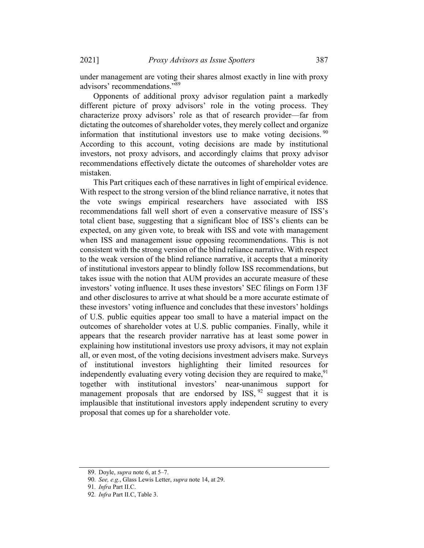2021] Proxy Advisors as Issue Spotters 387

under management are voting their shares almost exactly in line with proxy advisors' recommendations."<sup>89</sup>

Opponents of additional proxy advisor regulation paint a markedly different picture of proxy advisors' role in the voting process. They characterize proxy advisors' role as that of research provider—far from dictating the outcomes of shareholder votes, they merely collect and organize information that institutional investors use to make voting decisions.  $\frac{90}{2}$ According to this account, voting decisions are made by institutional investors, not proxy advisors, and accordingly claims that proxy advisor recommendations effectively dictate the outcomes of shareholder votes are mistaken.

This Part critiques each of these narratives in light of empirical evidence. With respect to the strong version of the blind reliance narrative, it notes that the vote swings empirical researchers have associated with ISS recommendations fall well short of even a conservative measure of ISS's total client base, suggesting that a significant bloc of ISS's clients can be expected, on any given vote, to break with ISS and vote with management when ISS and management issue opposing recommendations. This is not consistent with the strong version of the blind reliance narrative. With respect to the weak version of the blind reliance narrative, it accepts that a minority of institutional investors appear to blindly follow ISS recommendations, but takes issue with the notion that AUM provides an accurate measure of these investors' voting influence. It uses these investors' SEC filings on Form 13F and other disclosures to arrive at what should be a more accurate estimate of these investors' voting influence and concludes that these investors' holdings of U.S. public equities appear too small to have a material impact on the outcomes of shareholder votes at U.S. public companies. Finally, while it appears that the research provider narrative has at least some power in explaining how institutional investors use proxy advisors, it may not explain all, or even most, of the voting decisions investment advisers make. Surveys of institutional investors highlighting their limited resources for independently evaluating every voting decision they are required to make,  $91$ together with institutional investors' near-unanimous support for management proposals that are endorsed by  $ISS$ ,  $92$  suggest that it is implausible that institutional investors apply independent scrutiny to every proposal that comes up for a shareholder vote.

<sup>89.</sup> Doyle, supra note 6, at 5–7.

<sup>90</sup>. See, e.g., Glass Lewis Letter, supra note 14, at 29.

<sup>91</sup>. Infra Part II.C.

<sup>92</sup>. Infra Part II.C, Table 3.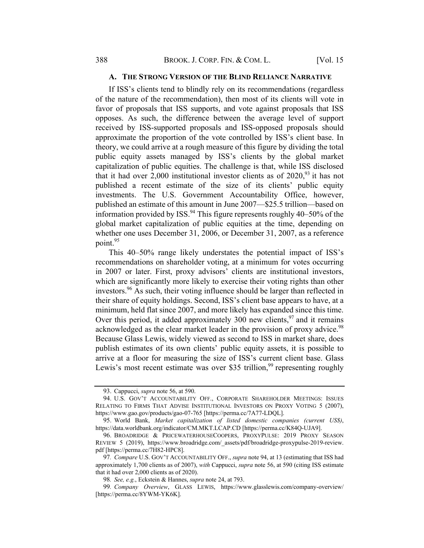#### A. THE STRONG VERSION OF THE BLIND RELIANCE NARRATIVE

If ISS's clients tend to blindly rely on its recommendations (regardless of the nature of the recommendation), then most of its clients will vote in favor of proposals that ISS supports, and vote against proposals that ISS opposes. As such, the difference between the average level of support received by ISS-supported proposals and ISS-opposed proposals should approximate the proportion of the vote controlled by ISS's client base. In theory, we could arrive at a rough measure of this figure by dividing the total public equity assets managed by ISS's clients by the global market capitalization of public equities. The challenge is that, while ISS disclosed that it had over 2,000 institutional investor clients as of  $2020$ ,<sup>93</sup> it has not published a recent estimate of the size of its clients' public equity investments. The U.S. Government Accountability Office, however, published an estimate of this amount in June 2007—\$25.5 trillion—based on information provided by ISS. $94$  This figure represents roughly 40–50% of the global market capitalization of public equities at the time, depending on whether one uses December 31, 2006, or December 31, 2007, as a reference point.<sup>95</sup>

This 40–50% range likely understates the potential impact of ISS's recommendations on shareholder voting, at a minimum for votes occurring in 2007 or later. First, proxy advisors' clients are institutional investors, which are significantly more likely to exercise their voting rights than other investors.<sup>96</sup> As such, their voting influence should be larger than reflected in their share of equity holdings. Second, ISS's client base appears to have, at a minimum, held flat since 2007, and more likely has expanded since this time. Over this period, it added approximately 300 new clients,  $97$  and it remains acknowledged as the clear market leader in the provision of proxy advice.<sup>98</sup> Because Glass Lewis, widely viewed as second to ISS in market share, does publish estimates of its own clients' public equity assets, it is possible to arrive at a floor for measuring the size of ISS's current client base. Glass Lewis's most recent estimate was over \$35 trillion,<sup>99</sup> representing roughly

<sup>93.</sup> Cappucci, supra note 56, at 590.

<sup>94.</sup> U.S. GOV'T ACCOUNTABILITY OFF., CORPORATE SHAREHOLDER MEETINGS: ISSUES RELATING TO FIRMS THAT ADVISE INSTITUTIONAL INVESTORS ON PROXY VOTING 5 (2007), https://www.gao.gov/products/gao-07-765 [https://perma.cc/7A77-LDQL].

<sup>95.</sup> World Bank, Market capitalization of listed domestic companies (current US\$), https://data.worldbank.org/indicator/CM.MKT.LCAP.CD [https://perma.cc/K84Q-UJA9].

<sup>96.</sup> BROADRIDGE & PRICEWATERHOUSECOOPERS, PROXYPULSE: 2019 PROXY SEASON REVIEW 5 (2019), https://www.broadridge.com/\_assets/pdf/broadridge-proxypulse-2019-review. pdf [https://perma.cc/7H82-HPC8].

<sup>97.</sup> Compare U.S. GOV'T ACCOUNTABILITY OFF., supra note 94, at 13 (estimating that ISS had approximately 1,700 clients as of 2007), with Cappucci, supra note 56, at 590 (citing ISS estimate that it had over 2,000 clients as of 2020).

<sup>98</sup>. See, e.g., Eckstein & Hannes, supra note 24, at 793.

<sup>99</sup>. Company Overview, GLASS LEWIS, https://www.glasslewis.com/company-overview/ [https://perma.cc/8YWM-YK6K].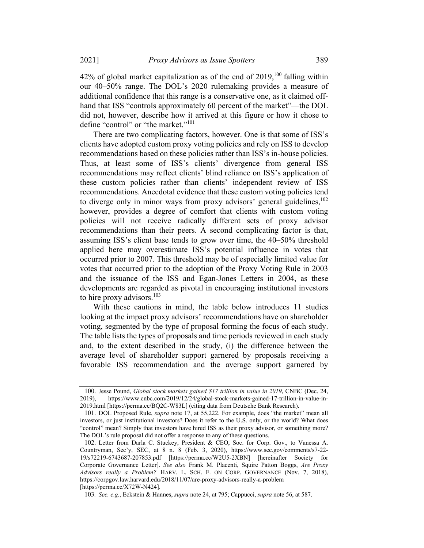$42\%$  of global market capitalization as of the end of  $2019$ ,  $100$  falling within our 40–50% range. The DOL's 2020 rulemaking provides a measure of additional confidence that this range is a conservative one, as it claimed offhand that ISS "controls approximately 60 percent of the market"—the DOL did not, however, describe how it arrived at this figure or how it chose to define "control" or "the market."<sup>101</sup>

There are two complicating factors, however. One is that some of ISS's clients have adopted custom proxy voting policies and rely on ISS to develop recommendations based on these policies rather than ISS's in-house policies. Thus, at least some of ISS's clients' divergence from general ISS recommendations may reflect clients' blind reliance on ISS's application of these custom policies rather than clients' independent review of ISS recommendations. Anecdotal evidence that these custom voting policies tend to diverge only in minor ways from proxy advisors' general guidelines, $102$ however, provides a degree of comfort that clients with custom voting policies will not receive radically different sets of proxy advisor recommendations than their peers. A second complicating factor is that, assuming ISS's client base tends to grow over time, the 40–50% threshold applied here may overestimate ISS's potential influence in votes that occurred prior to 2007. This threshold may be of especially limited value for votes that occurred prior to the adoption of the Proxy Voting Rule in 2003 and the issuance of the ISS and Egan-Jones Letters in 2004, as these developments are regarded as pivotal in encouraging institutional investors to hire proxy advisors.<sup>103</sup>

With these cautions in mind, the table below introduces 11 studies looking at the impact proxy advisors' recommendations have on shareholder voting, segmented by the type of proposal forming the focus of each study. The table lists the types of proposals and time periods reviewed in each study and, to the extent described in the study, (i) the difference between the average level of shareholder support garnered by proposals receiving a favorable ISS recommendation and the average support garnered by

<sup>100.</sup> Jesse Pound, Global stock markets gained \$17 trillion in value in 2019, CNBC (Dec. 24, 2019), https://www.cnbc.com/2019/12/24/global-stock-markets-gained-17-trillion-in-value-in-2019.html [https://perma.cc/BQ2C-W83L] (citing data from Deutsche Bank Research).

<sup>101.</sup> DOL Proposed Rule, supra note 17, at 55,222. For example, does "the market" mean all investors, or just institutional investors? Does it refer to the U.S. only, or the world? What does "control" mean? Simply that investors have hired ISS as their proxy advisor, or something more? The DOL's rule proposal did not offer a response to any of these questions.

<sup>102.</sup> Letter from Darla C. Stuckey, President & CEO, Soc. for Corp. Gov., to Vanessa A. Countryman, Sec'y, SEC, at 8 n. 8 (Feb. 3, 2020), https://www.sec.gov/comments/s7-22- 19/s72219-6743687-207853.pdf [https://perma.cc/W2U5-2XBN] [hereinafter Society for Corporate Governance Letter]. See also Frank M. Placenti, Squire Patton Boggs, Are Proxy Advisors really a Problem? HARV. L. SCH. F. ON CORP. GOVERNANCE (Nov. 7, 2018), https://corpgov.law.harvard.edu/2018/11/07/are-proxy-advisors-really-a-problem [https://perma.cc/X72W-N424].

<sup>103</sup>. See, e.g., Eckstein & Hannes, supra note 24, at 795; Cappucci, supra note 56, at 587.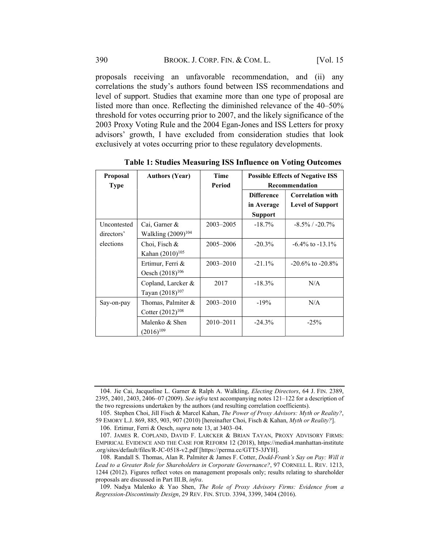proposals receiving an unfavorable recommendation, and (ii) any correlations the study's authors found between ISS recommendations and level of support. Studies that examine more than one type of proposal are listed more than once. Reflecting the diminished relevance of the 40–50% threshold for votes occurring prior to 2007, and the likely significance of the 2003 Proxy Voting Rule and the 2004 Egan-Jones and ISS Letters for proxy advisors' growth, I have excluded from consideration studies that look exclusively at votes occurring prior to these regulatory developments.

| Proposal    | <b>Authors (Year)</b>       | <b>Time</b>   | <b>Possible Effects of Negative ISS</b> |                         |
|-------------|-----------------------------|---------------|-----------------------------------------|-------------------------|
| <b>Type</b> |                             | Period        | Recommendation                          |                         |
|             |                             |               | <b>Difference</b>                       | <b>Correlation with</b> |
|             |                             |               | in Average                              | <b>Level of Support</b> |
|             |                             |               | <b>Support</b>                          |                         |
| Uncontested | Cai, Garner &               | 2003-2005     | $-18.7\%$                               | $-8.5\%$ / $-20.7\%$    |
| directors'  | Walkling $(2009)^{104}$     |               |                                         |                         |
| elections   | Choi, Fisch &               | 2005–2006     | $-20.3%$                                | $-6.4\%$ to $-13.1\%$   |
|             | Kahan $(2010)^{105}$        |               |                                         |                         |
|             | Ertimur, Ferri &            | $2003 - 2010$ | $-21.1\%$                               | $-20.6\%$ to $-20.8\%$  |
|             | Oesch (2018) <sup>106</sup> |               |                                         |                         |
|             | Copland, Larcker &          | 2017          | $-18.3\%$                               | N/A                     |
|             | Tayan $(2018)^{107}$        |               |                                         |                         |
| Say-on-pay  | Thomas, Palmiter &          | $2003 - 2010$ | $-19%$                                  | N/A                     |
|             | Cotter $(2012)^{108}$       |               |                                         |                         |
|             | Malenko & Shen              | 2010-2011     | $-24.3%$                                | $-25%$                  |
|             | $(2016)^{109}$              |               |                                         |                         |

Table 1: Studies Measuring ISS Influence on Voting Outcomes

<sup>104.</sup> Jie Cai, Jacqueline L. Garner & Ralph A. Walkling, Electing Directors, 64 J. FIN. 2389, 2395, 2401, 2403, 2406–07 (2009). See infra text accompanying notes 121–122 for a description of the two regressions undertaken by the authors (and resulting correlation coefficients).

<sup>105.</sup> Stephen Choi, Jill Fisch & Marcel Kahan, The Power of Proxy Advisors: Myth or Reality?, 59 EMORY L.J. 869, 885, 903, 907 (2010) [hereinafter Choi, Fisch & Kahan, Myth or Reality?].

<sup>106.</sup> Ertimur, Ferri & Oesch, supra note 13, at 3403–04.

<sup>107.</sup> JAMES R. COPLAND, DAVID F. LARCKER & BRIAN TAYAN, PROXY ADVISORY FIRMS: EMPIRICAL EVIDENCE AND THE CASE FOR REFORM 12 (2018), https://media4.manhattan-institute .org/sites/default/files/R-JC-0518-v2.pdf [https://perma.cc/GTT5-3JYH].

<sup>108.</sup> Randall S. Thomas, Alan R. Palmiter & James F. Cotter, Dodd-Frank's Say on Pay: Will it Lead to a Greater Role for Shareholders in Corporate Governance?, 97 CORNELL L. REV. 1213, 1244 (2012). Figures reflect votes on management proposals only; results relating to shareholder proposals are discussed in Part III.B, infra.

<sup>109.</sup> Nadya Malenko & Yao Shen, The Role of Proxy Advisory Firms: Evidence from a Regression-Discontinuity Design, 29 REV. FIN. STUD. 3394, 3399, 3404 (2016).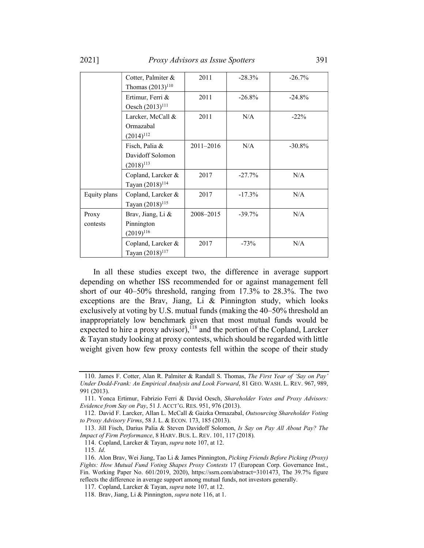2021] Proxy Advisors as Issue Spotters 391

|                   | Cotter, Palmiter &<br>Thomas $(2013)^{110}$          | 2011      | $-28.3\%$ | $-26.7%$  |
|-------------------|------------------------------------------------------|-----------|-----------|-----------|
|                   | Ertimur, Ferri &<br>Oesch (2013) <sup>111</sup>      | 2011      | $-26.8\%$ | $-24.8\%$ |
|                   | Larcker, McCall &<br>Ormazabal<br>$(2014)^{112}$     | 2011      | N/A       | $-22\%$   |
|                   | Fisch, Palia &<br>Davidoff Solomon<br>$(2018)^{113}$ | 2011-2016 | N/A       | $-30.8\%$ |
|                   | Copland, Larcker &<br>Tayan (2018) <sup>114</sup>    | 2017      | $-27.7%$  | N/A       |
| Equity plans      | Copland, Larcker &<br>Tayan (2018) <sup>115</sup>    | 2017      | $-17.3%$  | N/A       |
| Proxy<br>contests | Brav, Jiang, Li &<br>Pinnington<br>$(2019)^{116}$    | 2008-2015 | $-39.7%$  | N/A       |
|                   | Copland, Larcker &<br>Tayan (2018) <sup>117</sup>    | 2017      | $-73%$    | N/A       |

In all these studies except two, the difference in average support depending on whether ISS recommended for or against management fell short of our 40–50% threshold, ranging from 17.3% to 28.3%. The two exceptions are the Brav, Jiang, Li & Pinnington study, which looks exclusively at voting by U.S. mutual funds (making the 40–50% threshold an inappropriately low benchmark given that most mutual funds would be expected to hire a proxy advisor),<sup> $118$ </sup> and the portion of the Copland, Larcker & Tayan study looking at proxy contests, which should be regarded with little weight given how few proxy contests fell within the scope of their study

<sup>110.</sup> James F. Cotter, Alan R. Palmiter & Randall S. Thomas, The First Year of 'Say on Pay' Under Dodd-Frank: An Empirical Analysis and Look Forward, 81 GEO. WASH. L. REV. 967, 989, 991 (2013).

<sup>111.</sup> Yonca Ertimur, Fabrizio Ferri & David Oesch, Shareholder Votes and Proxy Advisors: Evidence from Say on Pay, 51 J. ACCT'G. RES. 951, 976 (2013).

<sup>112.</sup> David F. Larcker, Allan L. McCall & Gaizka Ormazabal, Outsourcing Shareholder Voting to Proxy Advisory Firms, 58 J. L. & ECON. 173, 185 (2013).

<sup>113.</sup> Jill Fisch, Darius Palia & Steven Davidoff Solomon, Is Say on Pay All About Pay? The Impact of Firm Performance, 8 HARV. BUS. L. REV. 101, 117 (2018).

<sup>114.</sup> Copland, Larcker & Tayan, supra note 107, at 12.

<sup>115</sup>. Id.

<sup>116.</sup> Alon Brav, Wei Jiang, Tao Li & James Pinnington, Picking Friends Before Picking (Proxy) Fights: How Mutual Fund Voting Shapes Proxy Contests 17 (European Corp. Governance Inst., Fin. Working Paper No. 601/2019, 2020), https://ssrn.com/abstract=3101473. The 39.7% figure reflects the difference in average support among mutual funds, not investors generally.

<sup>117.</sup> Copland, Larcker & Tayan, supra note 107, at 12.

<sup>118.</sup> Brav, Jiang, Li & Pinnington, *supra* note 116, at 1.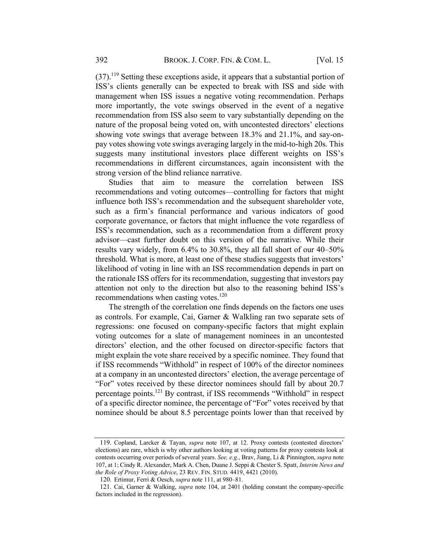$(37).$ <sup>119</sup> Setting these exceptions aside, it appears that a substantial portion of ISS's clients generally can be expected to break with ISS and side with management when ISS issues a negative voting recommendation. Perhaps more importantly, the vote swings observed in the event of a negative recommendation from ISS also seem to vary substantially depending on the nature of the proposal being voted on, with uncontested directors' elections showing vote swings that average between 18.3% and 21.1%, and say-onpay votes showing vote swings averaging largely in the mid-to-high 20s. This suggests many institutional investors place different weights on ISS's recommendations in different circumstances, again inconsistent with the strong version of the blind reliance narrative.

Studies that aim to measure the correlation between ISS recommendations and voting outcomes—controlling for factors that might influence both ISS's recommendation and the subsequent shareholder vote, such as a firm's financial performance and various indicators of good corporate governance, or factors that might influence the vote regardless of ISS's recommendation, such as a recommendation from a different proxy advisor—cast further doubt on this version of the narrative. While their results vary widely, from 6.4% to 30.8%, they all fall short of our 40–50% threshold. What is more, at least one of these studies suggests that investors' likelihood of voting in line with an ISS recommendation depends in part on the rationale ISS offers for its recommendation, suggesting that investors pay attention not only to the direction but also to the reasoning behind ISS's recommendations when casting votes. $120$ 

The strength of the correlation one finds depends on the factors one uses as controls. For example, Cai, Garner & Walkling ran two separate sets of regressions: one focused on company-specific factors that might explain voting outcomes for a slate of management nominees in an uncontested directors' election, and the other focused on director-specific factors that might explain the vote share received by a specific nominee. They found that if ISS recommends "Withhold" in respect of 100% of the director nominees at a company in an uncontested directors' election, the average percentage of "For" votes received by these director nominees should fall by about 20.7 percentage points.121 By contrast, if ISS recommends "Withhold" in respect of a specific director nominee, the percentage of "For" votes received by that nominee should be about 8.5 percentage points lower than that received by

<sup>119.</sup> Copland, Larcker & Tayan, supra note 107, at 12. Proxy contests (contested directors' elections) are rare, which is why other authors looking at voting patterns for proxy contests look at contests occurring over periods of several years. See, e.g., Brav, Jiang, Li & Pinnington, supra note 107, at 1; Cindy R. Alexander, Mark A. Chen, Duane J. Seppi & Chester S. Spatt, Interim News and the Role of Proxy Voting Advice, 23 REV. FIN. STUD. 4419, 4421 (2010).

<sup>120.</sup> Ertimur, Ferri & Oesch, supra note 111, at 980–81.

<sup>121.</sup> Cai, Garner & Walking, supra note 104, at 2401 (holding constant the company-specific factors included in the regression).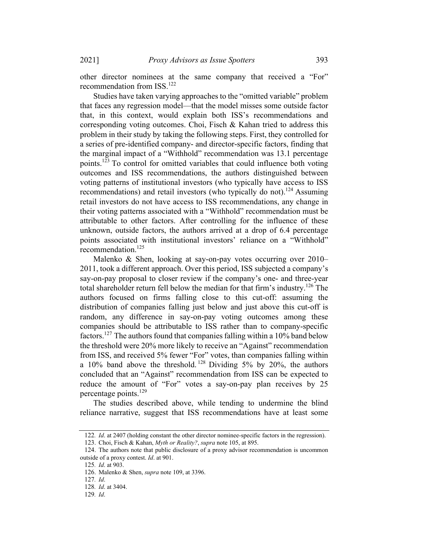2021] Proxy Advisors as Issue Spotters 393

other director nominees at the same company that received a "For" recommendation from ISS.<sup>122</sup>

Studies have taken varying approaches to the "omitted variable" problem that faces any regression model—that the model misses some outside factor that, in this context, would explain both ISS's recommendations and corresponding voting outcomes. Choi, Fisch & Kahan tried to address this problem in their study by taking the following steps. First, they controlled for a series of pre-identified company- and director-specific factors, finding that the marginal impact of a "Withhold" recommendation was 13.1 percentage points.<sup>123</sup> To control for omitted variables that could influence both voting outcomes and ISS recommendations, the authors distinguished between voting patterns of institutional investors (who typically have access to ISS recommendations) and retail investors (who typically do not).<sup>124</sup> Assuming retail investors do not have access to ISS recommendations, any change in their voting patterns associated with a "Withhold" recommendation must be attributable to other factors. After controlling for the influence of these unknown, outside factors, the authors arrived at a drop of 6.4 percentage points associated with institutional investors' reliance on a "Withhold" recommendation.125

Malenko & Shen, looking at say-on-pay votes occurring over 2010– 2011, took a different approach. Over this period, ISS subjected a company's say-on-pay proposal to closer review if the company's one- and three-year total shareholder return fell below the median for that firm's industry.<sup>126</sup> The authors focused on firms falling close to this cut-off: assuming the distribution of companies falling just below and just above this cut-off is random, any difference in say-on-pay voting outcomes among these companies should be attributable to ISS rather than to company-specific factors.<sup>127</sup> The authors found that companies falling within a 10% band below the threshold were 20% more likely to receive an "Against" recommendation from ISS, and received 5% fewer "For" votes, than companies falling within a  $10\%$  band above the threshold. <sup>128</sup> Dividing 5% by 20%, the authors concluded that an "Against" recommendation from ISS can be expected to reduce the amount of "For" votes a say-on-pay plan receives by 25 percentage points.129

The studies described above, while tending to undermine the blind reliance narrative, suggest that ISS recommendations have at least some

<sup>122.</sup> *Id.* at 2407 (holding constant the other director nominee-specific factors in the regression).

<sup>123.</sup> Choi, Fisch & Kahan, Myth or Reality?, supra note 105, at 895.

<sup>124.</sup> The authors note that public disclosure of a proxy advisor recommendation is uncommon outside of a proxy contest. Id. at 901.

<sup>125</sup>. Id. at 903.

<sup>126.</sup> Malenko & Shen, supra note 109, at 3396.

<sup>127</sup>. Id.

<sup>128</sup>. Id. at 3404.

<sup>129</sup>. Id.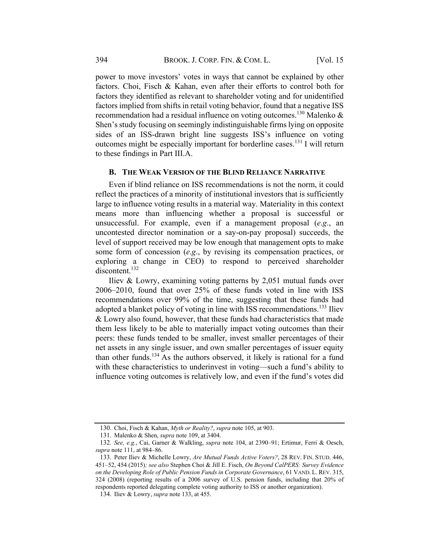power to move investors' votes in ways that cannot be explained by other factors. Choi, Fisch & Kahan, even after their efforts to control both for factors they identified as relevant to shareholder voting and for unidentified factors implied from shifts in retail voting behavior, found that a negative ISS recommendation had a residual influence on voting outcomes.<sup>130</sup> Malenko & Shen's study focusing on seemingly indistinguishable firms lying on opposite sides of an ISS-drawn bright line suggests ISS's influence on voting outcomes might be especially important for borderline cases.<sup>131</sup> I will return to these findings in Part III.A.

#### B. THE WEAK VERSION OF THE BLIND RELIANCE NARRATIVE

Even if blind reliance on ISS recommendations is not the norm, it could reflect the practices of a minority of institutional investors that is sufficiently large to influence voting results in a material way. Materiality in this context means more than influencing whether a proposal is successful or unsuccessful. For example, even if a management proposal (e.g., an uncontested director nomination or a say-on-pay proposal) succeeds, the level of support received may be low enough that management opts to make some form of concession (e.g., by revising its compensation practices, or exploring a change in CEO) to respond to perceived shareholder discontent.<sup>132</sup>

Iliev & Lowry, examining voting patterns by 2,051 mutual funds over 2006–2010, found that over 25% of these funds voted in line with ISS recommendations over 99% of the time, suggesting that these funds had adopted a blanket policy of voting in line with ISS recommendations.<sup>133</sup> Iliev & Lowry also found, however, that these funds had characteristics that made them less likely to be able to materially impact voting outcomes than their peers: these funds tended to be smaller, invest smaller percentages of their net assets in any single issuer, and own smaller percentages of issuer equity than other funds.<sup>134</sup> As the authors observed, it likely is rational for a fund with these characteristics to underinvest in voting—such a fund's ability to influence voting outcomes is relatively low, and even if the fund's votes did

<sup>130.</sup> Choi, Fisch & Kahan, Myth or Reality?, supra note 105, at 903.

<sup>131.</sup> Malenko & Shen, supra note 109, at 3404.

<sup>132</sup>. See, e.g., Cai, Garner & Walkling, supra note 104, at 2390–91; Ertimur, Ferri & Oesch, supra note 111, at 984–86.

<sup>133.</sup> Peter Iliev & Michelle Lowry, Are Mutual Funds Active Voters?, 28 REV. FIN. STUD. 446, 451–52, 454 (2015); see also Stephen Choi & Jill E. Fisch, On Beyond CalPERS: Survey Evidence on the Developing Role of Public Pension Funds in Corporate Governance, 61 VAND. L. REV. 315, 324 (2008) (reporting results of a 2006 survey of U.S. pension funds, including that 20% of respondents reported delegating complete voting authority to ISS or another organization).

<sup>134.</sup> Iliev & Lowry, supra note 133, at 455.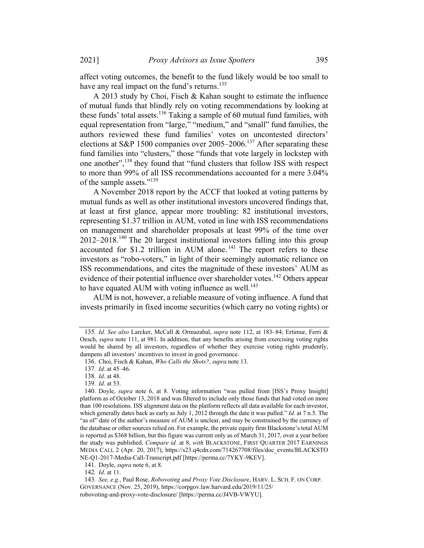affect voting outcomes, the benefit to the fund likely would be too small to have any real impact on the fund's returns.<sup>135</sup>

A 2013 study by Choi, Fisch & Kahan sought to estimate the influence of mutual funds that blindly rely on voting recommendations by looking at these funds' total assets.<sup>136</sup> Taking a sample of 60 mutual fund families, with equal representation from "large," "medium," and "small" fund families, the authors reviewed these fund families' votes on uncontested directors' elections at S&P 1500 companies over  $2005-2006$ .<sup>137</sup> After separating these fund families into "clusters," those "funds that vote largely in lockstep with one another",<sup>138</sup> they found that "fund clusters that follow ISS with respect to more than 99% of all ISS recommendations accounted for a mere 3.04% of the sample assets."<sup>139</sup>

A November 2018 report by the ACCF that looked at voting patterns by mutual funds as well as other institutional investors uncovered findings that, at least at first glance, appear more troubling: 82 institutional investors, representing \$1.37 trillion in AUM, voted in line with ISS recommendations on management and shareholder proposals at least 99% of the time over 2012–2018. <sup>140</sup> The 20 largest institutional investors falling into this group accounted for \$1.2 trillion in AUM alone.<sup> $141$ </sup> The report refers to these investors as "robo-voters," in light of their seemingly automatic reliance on ISS recommendations, and cites the magnitude of these investors' AUM as evidence of their potential influence over shareholder votes.<sup>142</sup> Others appear to have equated AUM with voting influence as well.<sup>143</sup>

AUM is not, however, a reliable measure of voting influence. A fund that invests primarily in fixed income securities (which carry no voting rights) or

<sup>135</sup>. Id. See also Larcker, McCall & Ormazabal, supra note 112, at 183–84; Ertimur, Ferri & Oesch, *supra* note 111, at 981. In addition, that any benefits arising from exercising voting rights would be shared by all investors, regardless of whether they exercise voting rights prudently, dampens all investors' incentives to invest in good governance.

<sup>136.</sup> Choi, Fisch & Kahan, Who Calls the Shots?, supra note 13.

<sup>137</sup>. Id. at 45–46.

<sup>138</sup>. Id. at 48.

<sup>139</sup>. Id. at 53.

<sup>140.</sup> Doyle, supra note 6, at 8. Voting information "was pulled from [ISS's Proxy Insight] platform as of October 13, 2018 and was filtered to include only those funds that had voted on more than 100 resolutions. ISS alignment data on the platform reflects all data available for each investor, which generally dates back as early as July 1, 2012 through the date it was pulled." *Id.* at  $7 \text{ n.5}$ . The "as of" date of the author's measure of AUM is unclear, and may be constrained by the currency of the database or other sources relied on. For example, the private equity firm Blackstone's total AUM is reported as \$368 billion, but this figure was current only as of March 31, 2017, over a year before the study was published. Compare id. at 8, with BLACKSTONE, FIRST QUARTER 2017 EARNINGS MEDIA CALL 2 (Apr. 20, 2017), https://s23.q4cdn.com/714267708/files/doc\_events/BLACKSTO NE-Q1-2017-Media-Call-Transcript.pdf [https://perma.cc/7YKY-9KEV].

<sup>141.</sup> Doyle, supra note 6, at 8.

<sup>142</sup>. Id. at 11.

<sup>143.</sup> See, e.g., Paul Rose, Robovoting and Proxy Vote Disclosure, HARV. L. SCH. F. ON CORP. GOVERNANCE (Nov. 25, 2019), https://corpgov.law.harvard.edu/2019/11/25/ robovoting-and-proxy-vote-disclosure/ [https://perma.cc/J4VB-VWYU].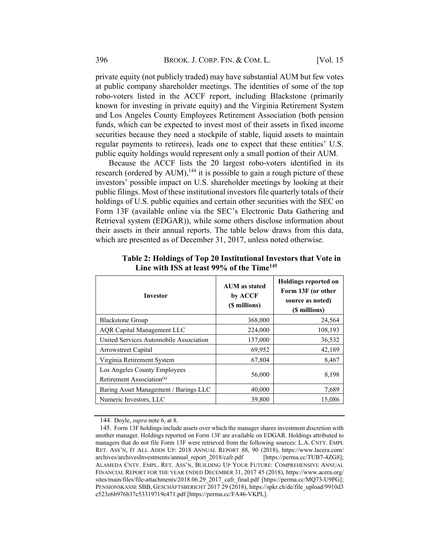private equity (not publicly traded) may have substantial AUM but few votes at public company shareholder meetings. The identities of some of the top robo-voters listed in the ACCF report, including Blackstone (primarily known for investing in private equity) and the Virginia Retirement System and Los Angeles County Employees Retirement Association (both pension funds, which can be expected to invest most of their assets in fixed income securities because they need a stockpile of stable, liquid assets to maintain regular payments to retirees), leads one to expect that these entities' U.S. public equity holdings would represent only a small portion of their AUM.

Because the ACCF lists the 20 largest robo-voters identified in its research (ordered by AUM),<sup>144</sup> it is possible to gain a rough picture of these investors' possible impact on U.S. shareholder meetings by looking at their public filings. Most of these institutional investors file quarterly totals of their holdings of U.S. public equities and certain other securities with the SEC on Form 13F (available online via the SEC's Electronic Data Gathering and Retrieval system (EDGAR)), while some others disclose information about their assets in their annual reports. The table below draws from this data, which are presented as of December 31, 2017, unless noted otherwise.

| <b>Investor</b>                                                       | <b>AUM</b> as stated<br>by ACCF<br>(\$ millions) | <b>Holdings reported on</b><br>Form 13F (or other<br>source as noted)<br>(\$ millions) |
|-----------------------------------------------------------------------|--------------------------------------------------|----------------------------------------------------------------------------------------|
| <b>Blackstone Group</b>                                               | 368,000                                          | 24,564                                                                                 |
| <b>AQR</b> Capital Management LLC                                     | 224,000                                          | 108,193                                                                                |
| United Services Automobile Association                                | 137,000                                          | 36,532                                                                                 |
| Arrowstreet Capital                                                   | 69,952                                           | 42,189                                                                                 |
| Virginia Retirement System                                            | 67,804                                           | 8,467                                                                                  |
| Los Angeles County Employees<br>Retirement Association <sup>(a)</sup> | 56,000                                           | 8,198                                                                                  |
| Baring Asset Management / Barings LLC                                 | 40,000                                           | 7,689                                                                                  |
| Numeric Investors, LLC                                                | 39,800                                           | 15,086                                                                                 |

Table 2: Holdings of Top 20 Institutional Investors that Vote in Line with ISS at least  $99\%$  of the Time<sup>145</sup>

<sup>144.</sup> Doyle, supra note 6, at 8.

<sup>145.</sup> Form 13F holdings include assets over which the manager shares investment discretion with another manager. Holdings reported on Form 13F are available on EDGAR. Holdings attributed to managers that do not file Form 13F were retrieved from the following sources: L.A. CNTY. EMPL RET. ASS'N, IT ALL ADDS UP: 2018 ANNUAL REPORT 88, 90 (2018), https://www.lacera.com/ archives/archivesInvestments/annual\_report\_2018/cafr.pdf [https://perma.cc/TUB7-4ZG8]; ALAMEDA CNTY. EMPL. RET. ASS'N, BUILDING UP YOUR FUTURE: COMPREHENSIVE ANNUAL FINANCIAL REPORT FOR THE YEAR ENDED DECEMBER 31, 2017 45 (2018), https://www.acera.org/ sites/main/files/file-attachments/2018.06.29\_2017\_cafr\_final.pdf [https://perma.cc/MQ73-U9PG]; PENSIONSKASSE SBB, GESCHÄFTSBERICHT 2017 29 (2018), https://spkr.ch/de/file\_upload/9910d3 e523e6b976b37c53319719c471.pdf [https://perma.cc/FA46-VKPL].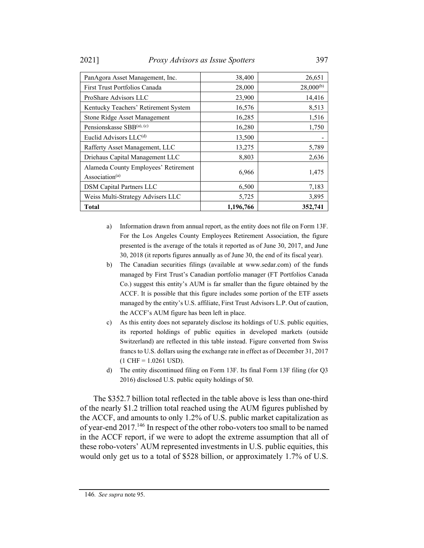2021] Proxy Advisors as Issue Spotters 397

| PanAgora Asset Management, Inc.                                    | 38,400    | 26,651         |
|--------------------------------------------------------------------|-----------|----------------|
| First Trust Portfolios Canada                                      | 28,000    | $28,000^{(b)}$ |
| ProShare Advisors LLC                                              | 23,900    | 14,416         |
| Kentucky Teachers' Retirement System                               | 16,576    | 8,513          |
| Stone Ridge Asset Management                                       | 16,285    | 1,516          |
| Pensionskasse SBB(a), (c)                                          | 16,280    | 1,750          |
| Euclid Advisors LLC <sup>(d)</sup>                                 | 13,500    |                |
| Rafferty Asset Management, LLC                                     | 13,275    | 5,789          |
| Driehaus Capital Management LLC                                    | 8,803     | 2,636          |
| Alameda County Employees' Retirement<br>Association <sup>(a)</sup> | 6,966     | 1,475          |
| <b>DSM Capital Partners LLC</b>                                    | 6,500     | 7,183          |
| Weiss Multi-Strategy Advisers LLC                                  | 5,725     | 3,895          |
| <b>Total</b>                                                       | 1,196,766 | 352,741        |

- a) Information drawn from annual report, as the entity does not file on Form 13F. For the Los Angeles County Employees Retirement Association, the figure presented is the average of the totals it reported as of June 30, 2017, and June 30, 2018 (it reports figures annually as of June 30, the end of its fiscal year).
- b) The Canadian securities filings (available at www.sedar.com) of the funds managed by First Trust's Canadian portfolio manager (FT Portfolios Canada Co.) suggest this entity's AUM is far smaller than the figure obtained by the ACCF. It is possible that this figure includes some portion of the ETF assets managed by the entity's U.S. affiliate, First Trust Advisors L.P. Out of caution, the ACCF's AUM figure has been left in place.
- c) As this entity does not separately disclose its holdings of U.S. public equities, its reported holdings of public equities in developed markets (outside Switzerland) are reflected in this table instead. Figure converted from Swiss francs to U.S. dollars using the exchange rate in effect as of December 31, 2017  $(1 \text{ CHF} = 1.0261 \text{ USD}).$
- d) The entity discontinued filing on Form 13F. Its final Form 13F filing (for Q3 2016) disclosed U.S. public equity holdings of \$0.

The \$352.7 billion total reflected in the table above is less than one-third of the nearly \$1.2 trillion total reached using the AUM figures published by the ACCF, and amounts to only 1.2% of U.S. public market capitalization as of year-end 2017.146 In respect of the other robo-voters too small to be named in the ACCF report, if we were to adopt the extreme assumption that all of these robo-voters' AUM represented investments in U.S. public equities, this would only get us to a total of \$528 billion, or approximately 1.7% of U.S.

<sup>146</sup>. See supra note 95.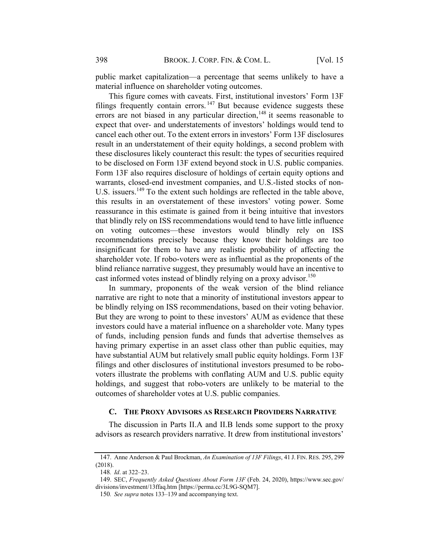public market capitalization—a percentage that seems unlikely to have a material influence on shareholder voting outcomes.

This figure comes with caveats. First, institutional investors' Form 13F filings frequently contain errors.<sup>147</sup> But because evidence suggests these errors are not biased in any particular direction, $148$  it seems reasonable to expect that over- and understatements of investors' holdings would tend to cancel each other out. To the extent errors in investors' Form 13F disclosures result in an understatement of their equity holdings, a second problem with these disclosures likely counteract this result: the types of securities required to be disclosed on Form 13F extend beyond stock in U.S. public companies. Form 13F also requires disclosure of holdings of certain equity options and warrants, closed-end investment companies, and U.S.-listed stocks of non-U.S. issuers.<sup>149</sup> To the extent such holdings are reflected in the table above, this results in an overstatement of these investors' voting power. Some reassurance in this estimate is gained from it being intuitive that investors that blindly rely on ISS recommendations would tend to have little influence on voting outcomes—these investors would blindly rely on ISS recommendations precisely because they know their holdings are too insignificant for them to have any realistic probability of affecting the shareholder vote. If robo-voters were as influential as the proponents of the blind reliance narrative suggest, they presumably would have an incentive to cast informed votes instead of blindly relying on a proxy advisor.<sup>150</sup>

In summary, proponents of the weak version of the blind reliance narrative are right to note that a minority of institutional investors appear to be blindly relying on ISS recommendations, based on their voting behavior. But they are wrong to point to these investors' AUM as evidence that these investors could have a material influence on a shareholder vote. Many types of funds, including pension funds and funds that advertise themselves as having primary expertise in an asset class other than public equities, may have substantial AUM but relatively small public equity holdings. Form 13F filings and other disclosures of institutional investors presumed to be robovoters illustrate the problems with conflating AUM and U.S. public equity holdings, and suggest that robo-voters are unlikely to be material to the outcomes of shareholder votes at U.S. public companies.

#### C. THE PROXY ADVISORS AS RESEARCH PROVIDERS NARRATIVE

The discussion in Parts II.A and II.B lends some support to the proxy advisors as research providers narrative. It drew from institutional investors'

<sup>147.</sup> Anne Anderson & Paul Brockman, An Examination of 13F Filings, 41 J. FIN. RES. 295, 299 (2018).

<sup>148</sup>. Id. at 322–23.

<sup>149.</sup> SEC, Frequently Asked Questions About Form 13F (Feb. 24, 2020), https://www.sec.gov/ divisions/investment/13ffaq.htm [https://perma.cc/3L9G-SQM7].

<sup>150</sup>. See supra notes 133–139 and accompanying text.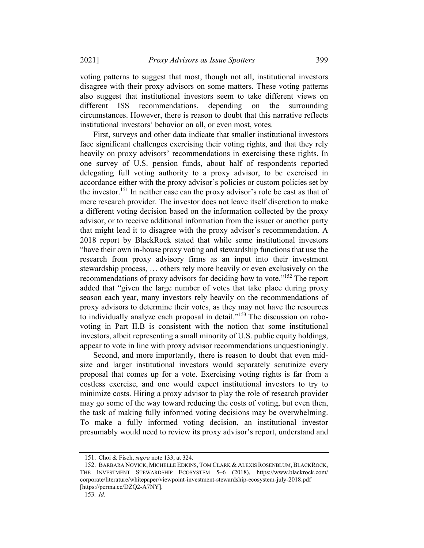voting patterns to suggest that most, though not all, institutional investors disagree with their proxy advisors on some matters. These voting patterns also suggest that institutional investors seem to take different views on different ISS recommendations, depending on the surrounding circumstances. However, there is reason to doubt that this narrative reflects institutional investors' behavior on all, or even most, votes.

First, surveys and other data indicate that smaller institutional investors face significant challenges exercising their voting rights, and that they rely heavily on proxy advisors' recommendations in exercising these rights. In one survey of U.S. pension funds, about half of respondents reported delegating full voting authority to a proxy advisor, to be exercised in accordance either with the proxy advisor's policies or custom policies set by the investor.<sup>151</sup> In neither case can the proxy advisor's role be cast as that of mere research provider. The investor does not leave itself discretion to make a different voting decision based on the information collected by the proxy advisor, or to receive additional information from the issuer or another party that might lead it to disagree with the proxy advisor's recommendation. A 2018 report by BlackRock stated that while some institutional investors "have their own in-house proxy voting and stewardship functions that use the research from proxy advisory firms as an input into their investment stewardship process, … others rely more heavily or even exclusively on the recommendations of proxy advisors for deciding how to vote."152 The report added that "given the large number of votes that take place during proxy season each year, many investors rely heavily on the recommendations of proxy advisors to determine their votes, as they may not have the resources to individually analyze each proposal in detail."<sup>153</sup> The discussion on robovoting in Part II.B is consistent with the notion that some institutional investors, albeit representing a small minority of U.S. public equity holdings, appear to vote in line with proxy advisor recommendations unquestioningly.

Second, and more importantly, there is reason to doubt that even midsize and larger institutional investors would separately scrutinize every proposal that comes up for a vote. Exercising voting rights is far from a costless exercise, and one would expect institutional investors to try to minimize costs. Hiring a proxy advisor to play the role of research provider may go some of the way toward reducing the costs of voting, but even then, the task of making fully informed voting decisions may be overwhelming. To make a fully informed voting decision, an institutional investor presumably would need to review its proxy advisor's report, understand and

<sup>151.</sup> Choi & Fisch, supra note 133, at 324.

<sup>152.</sup> BARBARA NOVICK, MICHELLE EDKINS, TOM CLARK & ALEXIS ROSENBLUM, BLACKROCK, THE INVESTMENT STEWARDSHIP ECOSYSTEM 5–6 (2018), https://www.blackrock.com/ corporate/literature/whitepaper/viewpoint-investment-stewardship-ecosystem-july-2018.pdf [https://perma.cc/DZQ2-A7NY].

<sup>153</sup>. Id.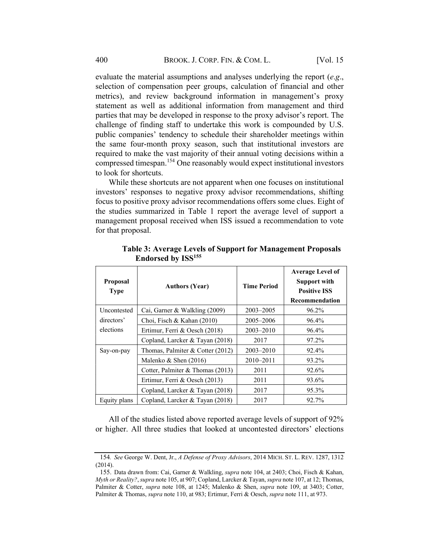evaluate the material assumptions and analyses underlying the report  $(e.g.,)$ selection of compensation peer groups, calculation of financial and other metrics), and review background information in management's proxy statement as well as additional information from management and third parties that may be developed in response to the proxy advisor's report. The challenge of finding staff to undertake this work is compounded by U.S. public companies' tendency to schedule their shareholder meetings within the same four-month proxy season, such that institutional investors are required to make the vast majority of their annual voting decisions within a compressed timespan. <sup>154</sup> One reasonably would expect institutional investors to look for shortcuts.

While these shortcuts are not apparent when one focuses on institutional investors' responses to negative proxy advisor recommendations, shifting focus to positive proxy advisor recommendations offers some clues. Eight of the studies summarized in Table 1 report the average level of support a management proposal received when ISS issued a recommendation to vote for that proposal.

| <b>Proposal</b><br><b>Type</b> | <b>Authors (Year)</b>            | <b>Time Period</b> | <b>Average Level of</b><br><b>Support with</b><br><b>Positive ISS</b><br>Recommendation |
|--------------------------------|----------------------------------|--------------------|-----------------------------------------------------------------------------------------|
| Uncontested                    | Cai, Garner & Walkling (2009)    | $2003 - 2005$      | 96.2%                                                                                   |
| directors'                     | Choi, Fisch & Kahan (2010)       | 2005–2006          | 96.4%                                                                                   |
| elections                      | Ertimur, Ferri & Oesch (2018)    | $2003 - 2010$      | 96.4%                                                                                   |
|                                | Copland, Larcker & Tayan (2018)  | 2017               | 97.2%                                                                                   |
| Say-on-pay                     | Thomas, Palmiter & Cotter (2012) | $2003 - 2010$      | 92.4%                                                                                   |
|                                | Malenko & Shen $(2016)$          | $2010 - 2011$      | 93.2%                                                                                   |
|                                | Cotter, Palmiter & Thomas (2013) | 2011               | 92.6%                                                                                   |
|                                | Ertimur, Ferri & Oesch (2013)    | 2011               | 93.6%                                                                                   |
|                                | Copland, Larcker & Tayan (2018)  | 2017               | 95.3%                                                                                   |
| Equity plans                   | Copland, Larcker & Tayan (2018)  | 2017               | 92.7%                                                                                   |

Table 3: Average Levels of Support for Management Proposals Endorsed by ISS155

All of the studies listed above reported average levels of support of 92% or higher. All three studies that looked at uncontested directors' elections

<sup>154</sup>. See George W. Dent, Jr., A Defense of Proxy Advisors, 2014 MICH. ST. L. REV. 1287, 1312 (2014).

<sup>155.</sup> Data drawn from: Cai, Garner & Walkling, supra note 104, at 2403; Choi, Fisch & Kahan, Myth or Reality?, supra note 105, at 907; Copland, Larcker & Tayan, supra note 107, at 12; Thomas, Palmiter & Cotter, supra note 108, at 1245; Malenko & Shen, supra note 109, at 3403; Cotter, Palmiter & Thomas, *supra* note 110, at 983; Ertimur, Ferri & Oesch, *supra* note 111, at 973.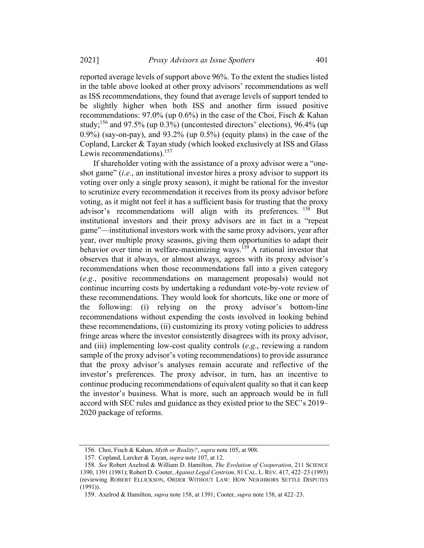reported average levels of support above 96%. To the extent the studies listed in the table above looked at other proxy advisors' recommendations as well as ISS recommendations, they found that average levels of support tended to be slightly higher when both ISS and another firm issued positive recommendations: 97.0% (up 0.6%) in the case of the Choi, Fisch & Kahan study;<sup>156</sup> and 97.5% (up  $0.3\%$ ) (uncontested directors' elections), 96.4% (up  $0.9\%$ ) (say-on-pay), and  $93.2\%$  (up  $0.5\%$ ) (equity plans) in the case of the Copland, Larcker & Tayan study (which looked exclusively at ISS and Glass Lewis recommendations).<sup>157</sup>

If shareholder voting with the assistance of a proxy advisor were a "oneshot game" (i.e., an institutional investor hires a proxy advisor to support its voting over only a single proxy season), it might be rational for the investor to scrutinize every recommendation it receives from its proxy advisor before voting, as it might not feel it has a sufficient basis for trusting that the proxy advisor's recommendations will align with its preferences. <sup>158</sup> But institutional investors and their proxy advisors are in fact in a "repeat game"—institutional investors work with the same proxy advisors, year after year, over multiple proxy seasons, giving them opportunities to adapt their behavior over time in welfare-maximizing ways.<sup>159</sup> A rational investor that observes that it always, or almost always, agrees with its proxy advisor's recommendations when those recommendations fall into a given category (e.g., positive recommendations on management proposals) would not continue incurring costs by undertaking a redundant vote-by-vote review of these recommendations. They would look for shortcuts, like one or more of the following: (i) relying on the proxy advisor's bottom-line recommendations without expending the costs involved in looking behind these recommendations, (ii) customizing its proxy voting policies to address fringe areas where the investor consistently disagrees with its proxy advisor, and (iii) implementing low-cost quality controls (e.g., reviewing a random sample of the proxy advisor's voting recommendations) to provide assurance that the proxy advisor's analyses remain accurate and reflective of the investor's preferences. The proxy advisor, in turn, has an incentive to continue producing recommendations of equivalent quality so that it can keep the investor's business. What is more, such an approach would be in full accord with SEC rules and guidance as they existed prior to the SEC's 2019– 2020 package of reforms.

<sup>156.</sup> Choi, Fisch & Kahan, Myth or Reality?, supra note 105, at 908.

<sup>157.</sup> Copland, Larcker & Tayan, supra note 107, at 12.

<sup>158.</sup> See Robert Axelrod & William D. Hamilton, The Evolution of Cooperation, 211 SCIENCE 1390, 1391 (1981); Robert D. Cooter, Against Legal Centrism, 81 CAL. L. REV. 417, 422-23 (1993) (reviewing ROBERT ELLICKSON, ORDER WITHOUT LAW: HOW NEIGHBORS SETTLE DISPUTES (1991)).

<sup>159.</sup> Axelrod & Hamilton, supra note 158, at 1391; Cooter, supra note 158, at 422–23.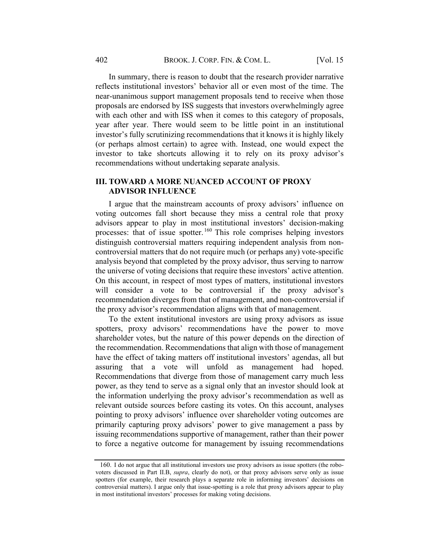In summary, there is reason to doubt that the research provider narrative reflects institutional investors' behavior all or even most of the time. The near-unanimous support management proposals tend to receive when those proposals are endorsed by ISS suggests that investors overwhelmingly agree with each other and with ISS when it comes to this category of proposals, year after year. There would seem to be little point in an institutional investor's fully scrutinizing recommendations that it knows it is highly likely (or perhaps almost certain) to agree with. Instead, one would expect the investor to take shortcuts allowing it to rely on its proxy advisor's recommendations without undertaking separate analysis.

## III. TOWARD A MORE NUANCED ACCOUNT OF PROXY ADVISOR INFLUENCE

I argue that the mainstream accounts of proxy advisors' influence on voting outcomes fall short because they miss a central role that proxy advisors appear to play in most institutional investors' decision-making processes: that of issue spotter.<sup>160</sup> This role comprises helping investors distinguish controversial matters requiring independent analysis from noncontroversial matters that do not require much (or perhaps any) vote-specific analysis beyond that completed by the proxy advisor, thus serving to narrow the universe of voting decisions that require these investors' active attention. On this account, in respect of most types of matters, institutional investors will consider a vote to be controversial if the proxy advisor's recommendation diverges from that of management, and non-controversial if the proxy advisor's recommendation aligns with that of management.

To the extent institutional investors are using proxy advisors as issue spotters, proxy advisors' recommendations have the power to move shareholder votes, but the nature of this power depends on the direction of the recommendation. Recommendations that align with those of management have the effect of taking matters off institutional investors' agendas, all but assuring that a vote will unfold as management had hoped. Recommendations that diverge from those of management carry much less power, as they tend to serve as a signal only that an investor should look at the information underlying the proxy advisor's recommendation as well as relevant outside sources before casting its votes. On this account, analyses pointing to proxy advisors' influence over shareholder voting outcomes are primarily capturing proxy advisors' power to give management a pass by issuing recommendations supportive of management, rather than their power to force a negative outcome for management by issuing recommendations

<sup>160.</sup> I do not argue that all institutional investors use proxy advisors as issue spotters (the robovoters discussed in Part II.B, supra, clearly do not), or that proxy advisors serve only as issue spotters (for example, their research plays a separate role in informing investors' decisions on controversial matters). I argue only that issue-spotting is a role that proxy advisors appear to play in most institutional investors' processes for making voting decisions.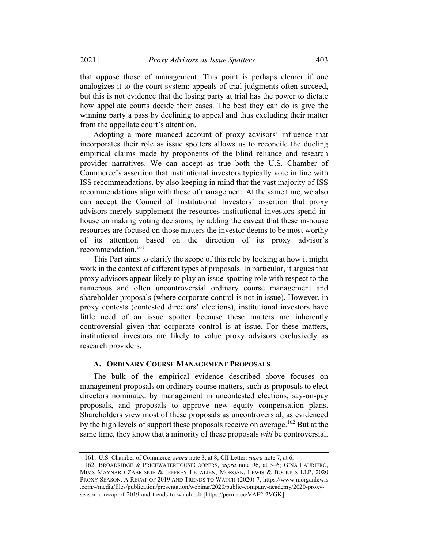that oppose those of management. This point is perhaps clearer if one analogizes it to the court system: appeals of trial judgments often succeed, but this is not evidence that the losing party at trial has the power to dictate how appellate courts decide their cases. The best they can do is give the winning party a pass by declining to appeal and thus excluding their matter from the appellate court's attention.

Adopting a more nuanced account of proxy advisors' influence that incorporates their role as issue spotters allows us to reconcile the dueling empirical claims made by proponents of the blind reliance and research provider narratives. We can accept as true both the U.S. Chamber of Commerce's assertion that institutional investors typically vote in line with ISS recommendations, by also keeping in mind that the vast majority of ISS recommendations align with those of management. At the same time, we also can accept the Council of Institutional Investors' assertion that proxy advisors merely supplement the resources institutional investors spend inhouse on making voting decisions, by adding the caveat that these in-house resources are focused on those matters the investor deems to be most worthy of its attention based on the direction of its proxy advisor's recommendation.161

This Part aims to clarify the scope of this role by looking at how it might work in the context of different types of proposals. In particular, it argues that proxy advisors appear likely to play an issue-spotting role with respect to the numerous and often uncontroversial ordinary course management and shareholder proposals (where corporate control is not in issue). However, in proxy contests (contested directors' elections), institutional investors have little need of an issue spotter because these matters are inherently controversial given that corporate control is at issue. For these matters, institutional investors are likely to value proxy advisors exclusively as research providers.

#### A. ORDINARY COURSE MANAGEMENT PROPOSALS

The bulk of the empirical evidence described above focuses on management proposals on ordinary course matters, such as proposals to elect directors nominated by management in uncontested elections, say-on-pay proposals, and proposals to approve new equity compensation plans. Shareholders view most of these proposals as uncontroversial, as evidenced by the high levels of support these proposals receive on average.<sup>162</sup> But at the same time, they know that a minority of these proposals will be controversial.

<sup>161.</sup> U.S. Chamber of Commerce, supra note 3, at 8; CII Letter, supra note 7, at 6.

<sup>162.</sup> BROADRIDGE & PRICEWATERHOUSECOOPERS, supra note 96, at 5–6; GINA LAURIERO, MIMS MAYNARD ZABRISKIE & JEFFREY LETALIEN, MORGAN, LEWIS & BOCKIUS LLP, 2020 PROXY SEASON: A RECAP OF 2019 AND TRENDS TO WATCH (2020) 7, https://www.morganlewis .com/-/media/files/publication/presentation/webinar/2020/public-company-academy/2020-proxyseason-a-recap-of-2019-and-trends-to-watch.pdf [https://perma.cc/VAF2-2VGK].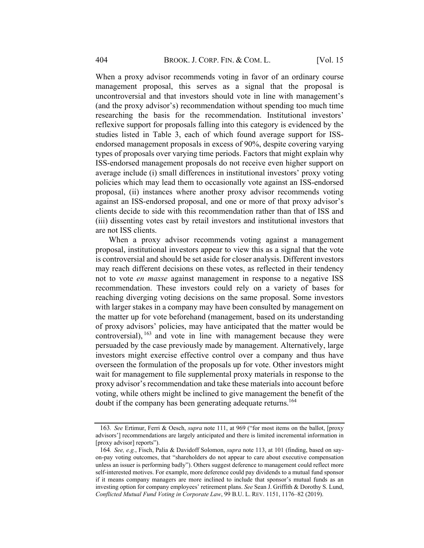When a proxy advisor recommends voting in favor of an ordinary course management proposal, this serves as a signal that the proposal is uncontroversial and that investors should vote in line with management's (and the proxy advisor's) recommendation without spending too much time researching the basis for the recommendation. Institutional investors' reflexive support for proposals falling into this category is evidenced by the studies listed in Table 3, each of which found average support for ISSendorsed management proposals in excess of 90%, despite covering varying types of proposals over varying time periods. Factors that might explain why ISS-endorsed management proposals do not receive even higher support on average include (i) small differences in institutional investors' proxy voting policies which may lead them to occasionally vote against an ISS-endorsed proposal, (ii) instances where another proxy advisor recommends voting against an ISS-endorsed proposal, and one or more of that proxy advisor's clients decide to side with this recommendation rather than that of ISS and (iii) dissenting votes cast by retail investors and institutional investors that are not ISS clients.

When a proxy advisor recommends voting against a management proposal, institutional investors appear to view this as a signal that the vote is controversial and should be set aside for closer analysis. Different investors may reach different decisions on these votes, as reflected in their tendency not to vote en masse against management in response to a negative ISS recommendation. These investors could rely on a variety of bases for reaching diverging voting decisions on the same proposal. Some investors with larger stakes in a company may have been consulted by management on the matter up for vote beforehand (management, based on its understanding of proxy advisors' policies, may have anticipated that the matter would be controversial), <sup>163</sup> and vote in line with management because they were persuaded by the case previously made by management. Alternatively, large investors might exercise effective control over a company and thus have overseen the formulation of the proposals up for vote. Other investors might wait for management to file supplemental proxy materials in response to the proxy advisor's recommendation and take these materials into account before voting, while others might be inclined to give management the benefit of the doubt if the company has been generating adequate returns.<sup>164</sup>

<sup>163</sup>. See Ertimur, Ferri & Oesch, supra note 111, at 969 ("for most items on the ballot, [proxy advisors'] recommendations are largely anticipated and there is limited incremental information in [proxy advisor] reports").

<sup>164</sup>. See, e.g., Fisch, Palia & Davidoff Solomon, supra note 113, at 101 (finding, based on sayon-pay voting outcomes, that "shareholders do not appear to care about executive compensation unless an issuer is performing badly"). Others suggest deference to management could reflect more self-interested motives. For example, more deference could pay dividends to a mutual fund sponsor if it means company managers are more inclined to include that sponsor's mutual funds as an investing option for company employees' retirement plans. See Sean J. Griffith & Dorothy S. Lund, Conflicted Mutual Fund Voting in Corporate Law, 99 B.U. L. REV. 1151, 1176–82 (2019).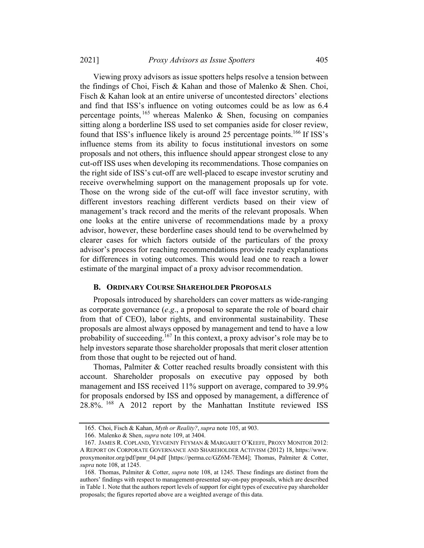2021] *Proxy Advisors as Issue Spotters* 405

Viewing proxy advisors as issue spotters helps resolve a tension between the findings of Choi, Fisch & Kahan and those of Malenko & Shen. Choi, Fisch & Kahan look at an entire universe of uncontested directors' elections and find that ISS's influence on voting outcomes could be as low as 6.4 percentage points,  $165$  whereas Malenko & Shen, focusing on companies sitting along a borderline ISS used to set companies aside for closer review, found that ISS's influence likely is around 25 percentage points.<sup>166</sup> If ISS's influence stems from its ability to focus institutional investors on some proposals and not others, this influence should appear strongest close to any cut-off ISS uses when developing its recommendations. Those companies on the right side of ISS's cut-off are well-placed to escape investor scrutiny and receive overwhelming support on the management proposals up for vote. Those on the wrong side of the cut-off will face investor scrutiny, with different investors reaching different verdicts based on their view of management's track record and the merits of the relevant proposals. When one looks at the entire universe of recommendations made by a proxy advisor, however, these borderline cases should tend to be overwhelmed by clearer cases for which factors outside of the particulars of the proxy advisor's process for reaching recommendations provide ready explanations for differences in voting outcomes. This would lead one to reach a lower estimate of the marginal impact of a proxy advisor recommendation.

#### B. ORDINARY COURSE SHAREHOLDER PROPOSALS

Proposals introduced by shareholders can cover matters as wide-ranging as corporate governance (e.g., a proposal to separate the role of board chair from that of CEO), labor rights, and environmental sustainability. These proposals are almost always opposed by management and tend to have a low probability of succeeding.<sup>167</sup> In this context, a proxy advisor's role may be to help investors separate those shareholder proposals that merit closer attention from those that ought to be rejected out of hand.

Thomas, Palmiter & Cotter reached results broadly consistent with this account. Shareholder proposals on executive pay opposed by both management and ISS received 11% support on average, compared to 39.9% for proposals endorsed by ISS and opposed by management, a difference of 28.8%. <sup>168</sup> A 2012 report by the Manhattan Institute reviewed ISS

<sup>165.</sup> Choi, Fisch & Kahan, Myth or Reality?, supra note 105, at 903.

<sup>166.</sup> Malenko & Shen, supra note 109, at 3404.

<sup>167.</sup> JAMES R. COPLAND, YEVGENIY FEYMAN & MARGARET O'KEEFE, PROXY MONITOR 2012: A REPORT ON CORPORATE GOVERNANCE AND SHAREHOLDER ACTIVISM (2012) 18, https://www. proxymonitor.org/pdf/pmr\_04.pdf [https://perma.cc/GZ6M-7EM4]; Thomas, Palmiter & Cotter, supra note 108, at 1245.

<sup>168.</sup> Thomas, Palmiter & Cotter, supra note 108, at 1245. These findings are distinct from the authors' findings with respect to management-presented say-on-pay proposals, which are described in Table 1. Note that the authors report levels of support for eight types of executive pay shareholder proposals; the figures reported above are a weighted average of this data.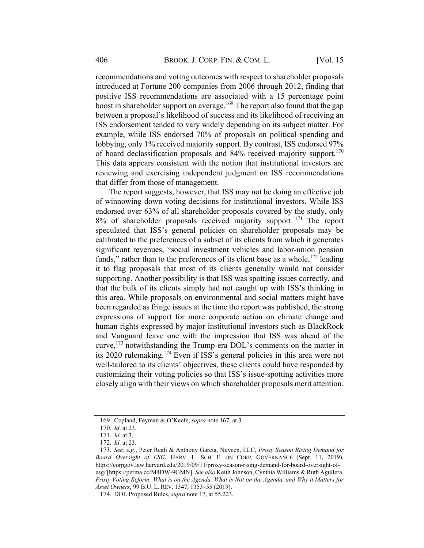recommendations and voting outcomes with respect to shareholder proposals introduced at Fortune 200 companies from 2006 through 2012, finding that positive ISS recommendations are associated with a 15 percentage point boost in shareholder support on average.<sup>169</sup> The report also found that the gap between a proposal's likelihood of success and its likelihood of receiving an ISS endorsement tended to vary widely depending on its subject matter. For example, while ISS endorsed 70% of proposals on political spending and lobbying, only 1% received majority support. By contrast, ISS endorsed 97% of board declassification proposals and 84% received majority support.<sup>170</sup> This data appears consistent with the notion that institutional investors are reviewing and exercising independent judgment on ISS recommendations that differ from those of management.

The report suggests, however, that ISS may not be doing an effective job of winnowing down voting decisions for institutional investors. While ISS endorsed over 63% of all shareholder proposals covered by the study, only 8% of shareholder proposals received majority support.<sup>171</sup> The report speculated that ISS's general policies on shareholder proposals may be calibrated to the preferences of a subset of its clients from which it generates significant revenues, "social investment vehicles and labor-union pension funds," rather than to the preferences of its client base as a whole,  $172$  leading it to flag proposals that most of its clients generally would not consider supporting. Another possibility is that ISS was spotting issues correctly, and that the bulk of its clients simply had not caught up with ISS's thinking in this area. While proposals on environmental and social matters might have been regarded as fringe issues at the time the report was published, the strong expressions of support for more corporate action on climate change and human rights expressed by major institutional investors such as BlackRock and Vanguard leave one with the impression that ISS was ahead of the curve,<sup>173</sup> notwithstanding the Trump-era DOL's comments on the matter in its 2020 rulemaking.174 Even if ISS's general policies in this area were not well-tailored to its clients' objectives, these clients could have responded by customizing their voting policies so that ISS's issue-spotting activities more closely align with their views on which shareholder proposals merit attention.

<sup>169.</sup> Copland, Feyman & O'Keefe, supra note 167, at 3.

<sup>170</sup>. Id. at 23.

<sup>171</sup>. Id. at 3.

<sup>172</sup>. Id. at 23.

<sup>173.</sup> See, e.g., Peter Reali & Anthony Garcia, Nuveen, LLC, Proxy Season Rising Demand for Board Oversight of ESG, HARV. L. SCH. F. ON CORP. GOVERNANCE (Sept. 11, 2019), https://corpgov.law.harvard.edu/2019/09/11/proxy-season-rising-demand-for-board-oversight-ofesg/ [https://perma.cc/M4DW-9GMN]. See also Keith Johnson, Cynthia Williams & Ruth Aguilera, Proxy Voting Reform: What is on the Agenda, What is Not on the Agenda, and Why it Matters for Asset Owners, 99 B.U. L. REV. 1347, 1353–55 (2019).

<sup>174.</sup> DOL Proposed Rules, *supra* note 17, at 55,223.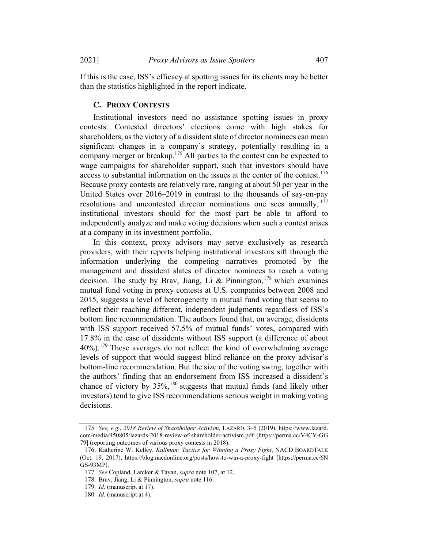If this is the case, ISS's efficacy at spotting issues for its clients may be better than the statistics highlighted in the report indicate.

### C. PROXY CONTESTS

Institutional investors need no assistance spotting issues in proxy contests. Contested directors' elections come with high stakes for shareholders, as the victory of a dissident slate of director nominees can mean significant changes in a company's strategy, potentially resulting in a company merger or breakup.<sup>175</sup> All parties to the contest can be expected to wage campaigns for shareholder support, such that investors should have access to substantial information on the issues at the center of the contest.<sup>176</sup> Because proxy contests are relatively rare, ranging at about 50 per year in the United States over 2016–2019 in contrast to the thousands of say-on-pay resolutions and uncontested director nominations one sees annually, <sup>177</sup> institutional investors should for the most part be able to afford to independently analyze and make voting decisions when such a contest arises at a company in its investment portfolio.

In this context, proxy advisors may serve exclusively as research providers, with their reports helping institutional investors sift through the information underlying the competing narratives promoted by the management and dissident slates of director nominees to reach a voting decision. The study by Brav, Jiang, Li & Pinnington,  $178$  which examines mutual fund voting in proxy contests at U.S. companies between 2008 and 2015, suggests a level of heterogeneity in mutual fund voting that seems to reflect their reaching different, independent judgments regardless of ISS's bottom line recommendation. The authors found that, on average, dissidents with ISS support received 57.5% of mutual funds' votes, compared with 17.8% in the case of dissidents without ISS support (a difference of about 40%).<sup>179</sup> These averages do not reflect the kind of overwhelming average levels of support that would suggest blind reliance on the proxy advisor's bottom-line recommendation. But the size of the voting swing, together with the authors' finding that an endorsement from ISS increased a dissident's chance of victory by  $35\%,^{180}$  suggests that mutual funds (and likely other investors) tend to give ISS recommendations serious weight in making voting decisions.

<sup>175</sup>. See, e.g., 2018 Review of Shareholder Activism, LAZARD, 3–5 (2019), https://www.lazard. com/media/450805/lazards-2018-review-of-shareholder-activism.pdf [https://perma.cc/V4CY-GG 79] (reporting outcomes of various proxy contests in 2018).

<sup>176.</sup> Katherine W. Kelley, Kullman: Tactics for Winning a Proxy Fight, NACD BOARDTALK (Oct. 19, 2017), https://blog.nacdonline.org/posts/how-to-win-a-proxy-fight [https://perma.cc/6N GS-93MP].

<sup>177.</sup> See Copland, Larcker & Tayan, supra note 107, at 12.

<sup>178.</sup> Brav, Jiang, Li & Pinnington, supra note 116.

<sup>179</sup>. Id. (manuscript at 17).

<sup>180</sup>. Id. (manuscript at 4).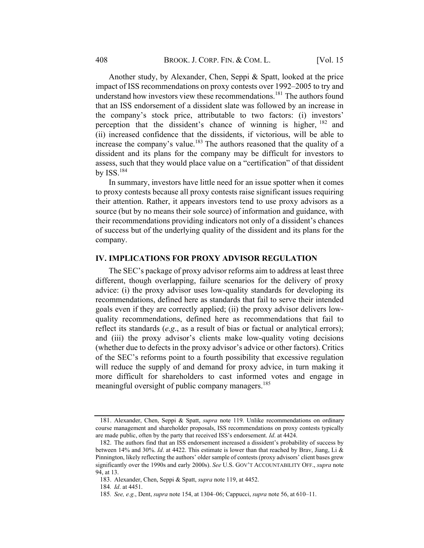Another study, by Alexander, Chen, Seppi & Spatt, looked at the price impact of ISS recommendations on proxy contests over 1992–2005 to try and understand how investors view these recommendations. <sup>181</sup> The authors found that an ISS endorsement of a dissident slate was followed by an increase in the company's stock price, attributable to two factors: (i) investors' perception that the dissident's chance of winning is higher, <sup>182</sup> and (ii) increased confidence that the dissidents, if victorious, will be able to increase the company's value.<sup>183</sup> The authors reasoned that the quality of a dissident and its plans for the company may be difficult for investors to assess, such that they would place value on a "certification" of that dissident by  $ISS.184$ 

In summary, investors have little need for an issue spotter when it comes to proxy contests because all proxy contests raise significant issues requiring their attention. Rather, it appears investors tend to use proxy advisors as a source (but by no means their sole source) of information and guidance, with their recommendations providing indicators not only of a dissident's chances of success but of the underlying quality of the dissident and its plans for the company.

## IV. IMPLICATIONS FOR PROXY ADVISOR REGULATION

The SEC's package of proxy advisor reforms aim to address at least three different, though overlapping, failure scenarios for the delivery of proxy advice: (i) the proxy advisor uses low-quality standards for developing its recommendations, defined here as standards that fail to serve their intended goals even if they are correctly applied; (ii) the proxy advisor delivers lowquality recommendations, defined here as recommendations that fail to reflect its standards (e.g., as a result of bias or factual or analytical errors); and (iii) the proxy advisor's clients make low-quality voting decisions (whether due to defects in the proxy advisor's advice or other factors). Critics of the SEC's reforms point to a fourth possibility that excessive regulation will reduce the supply of and demand for proxy advice, in turn making it more difficult for shareholders to cast informed votes and engage in meaningful oversight of public company managers.<sup>185</sup>

<sup>181.</sup> Alexander, Chen, Seppi & Spatt, supra note 119. Unlike recommendations on ordinary course management and shareholder proposals, ISS recommendations on proxy contests typically are made public, often by the party that received ISS's endorsement. Id. at 4424.

<sup>182.</sup> The authors find that an ISS endorsement increased a dissident's probability of success by between 14% and 30%. Id. at 4422. This estimate is lower than that reached by Brav, Jiang, Li & Pinnington, likely reflecting the authors' older sample of contests (proxy advisors' client bases grew significantly over the 1990s and early 2000s). See U.S. GOV'T ACCOUNTABILITY OFF., supra note 94, at 13.

<sup>183.</sup> Alexander, Chen, Seppi & Spatt, supra note 119, at 4452.

<sup>184</sup>. Id. at 4451.

<sup>185</sup>. See, e.g., Dent, supra note 154, at 1304–06; Cappucci, supra note 56, at 610–11.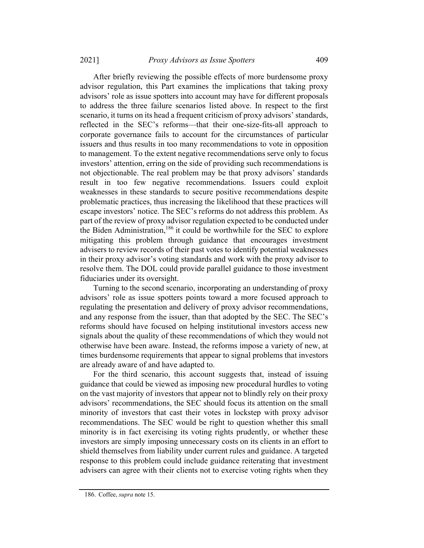2021] Proxy Advisors as Issue Spotters 409

After briefly reviewing the possible effects of more burdensome proxy advisor regulation, this Part examines the implications that taking proxy advisors' role as issue spotters into account may have for different proposals to address the three failure scenarios listed above. In respect to the first scenario, it turns on its head a frequent criticism of proxy advisors' standards, reflected in the SEC's reforms—that their one-size-fits-all approach to corporate governance fails to account for the circumstances of particular issuers and thus results in too many recommendations to vote in opposition to management. To the extent negative recommendations serve only to focus investors' attention, erring on the side of providing such recommendations is not objectionable. The real problem may be that proxy advisors' standards result in too few negative recommendations. Issuers could exploit weaknesses in these standards to secure positive recommendations despite problematic practices, thus increasing the likelihood that these practices will escape investors' notice. The SEC's reforms do not address this problem. As part of the review of proxy advisor regulation expected to be conducted under the Biden Administration,<sup>186</sup> it could be worthwhile for the SEC to explore mitigating this problem through guidance that encourages investment advisers to review records of their past votes to identify potential weaknesses in their proxy advisor's voting standards and work with the proxy advisor to resolve them. The DOL could provide parallel guidance to those investment fiduciaries under its oversight.

Turning to the second scenario, incorporating an understanding of proxy advisors' role as issue spotters points toward a more focused approach to regulating the presentation and delivery of proxy advisor recommendations, and any response from the issuer, than that adopted by the SEC. The SEC's reforms should have focused on helping institutional investors access new signals about the quality of these recommendations of which they would not otherwise have been aware. Instead, the reforms impose a variety of new, at times burdensome requirements that appear to signal problems that investors are already aware of and have adapted to.

For the third scenario, this account suggests that, instead of issuing guidance that could be viewed as imposing new procedural hurdles to voting on the vast majority of investors that appear not to blindly rely on their proxy advisors' recommendations, the SEC should focus its attention on the small minority of investors that cast their votes in lockstep with proxy advisor recommendations. The SEC would be right to question whether this small minority is in fact exercising its voting rights prudently, or whether these investors are simply imposing unnecessary costs on its clients in an effort to shield themselves from liability under current rules and guidance. A targeted response to this problem could include guidance reiterating that investment advisers can agree with their clients not to exercise voting rights when they

<sup>186.</sup> Coffee, supra note 15.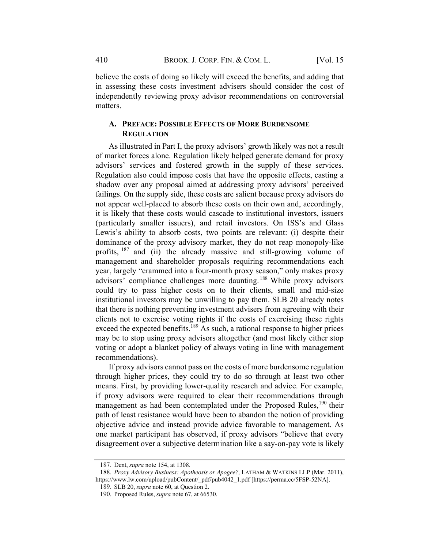believe the costs of doing so likely will exceed the benefits, and adding that in assessing these costs investment advisers should consider the cost of independently reviewing proxy advisor recommendations on controversial matters.

### A. PREFACE: POSSIBLE EFFECTS OF MORE BURDENSOME **REGULATION**

As illustrated in Part I, the proxy advisors' growth likely was not a result of market forces alone. Regulation likely helped generate demand for proxy advisors' services and fostered growth in the supply of these services. Regulation also could impose costs that have the opposite effects, casting a shadow over any proposal aimed at addressing proxy advisors' perceived failings. On the supply side, these costs are salient because proxy advisors do not appear well-placed to absorb these costs on their own and, accordingly, it is likely that these costs would cascade to institutional investors, issuers (particularly smaller issuers), and retail investors. On ISS's and Glass Lewis's ability to absorb costs, two points are relevant: (i) despite their dominance of the proxy advisory market, they do not reap monopoly-like profits, <sup>187</sup> and (ii) the already massive and still-growing volume of management and shareholder proposals requiring recommendations each year, largely "crammed into a four-month proxy season," only makes proxy advisors' compliance challenges more daunting.<sup>188</sup> While proxy advisors could try to pass higher costs on to their clients, small and mid-size institutional investors may be unwilling to pay them. SLB 20 already notes that there is nothing preventing investment advisers from agreeing with their clients not to exercise voting rights if the costs of exercising these rights exceed the expected benefits.<sup>189</sup> As such, a rational response to higher prices may be to stop using proxy advisors altogether (and most likely either stop voting or adopt a blanket policy of always voting in line with management recommendations).

If proxy advisors cannot pass on the costs of more burdensome regulation through higher prices, they could try to do so through at least two other means. First, by providing lower-quality research and advice. For example, if proxy advisors were required to clear their recommendations through management as had been contemplated under the Proposed Rules,<sup>190</sup> their path of least resistance would have been to abandon the notion of providing objective advice and instead provide advice favorable to management. As one market participant has observed, if proxy advisors "believe that every disagreement over a subjective determination like a say‐on‐pay vote is likely

<sup>187.</sup> Dent, supra note 154, at 1308.

<sup>188.</sup> Proxy Advisory Business: Apotheosis or Apogee?, LATHAM & WATKINS LLP (Mar. 2011), https://www.lw.com/upload/pubContent/\_pdf/pub4042\_1.pdf [https://perma.cc/5FSP-52NA].

<sup>189.</sup> SLB 20, supra note 60, at Question 2.

<sup>190.</sup> Proposed Rules, *supra* note 67, at 66530.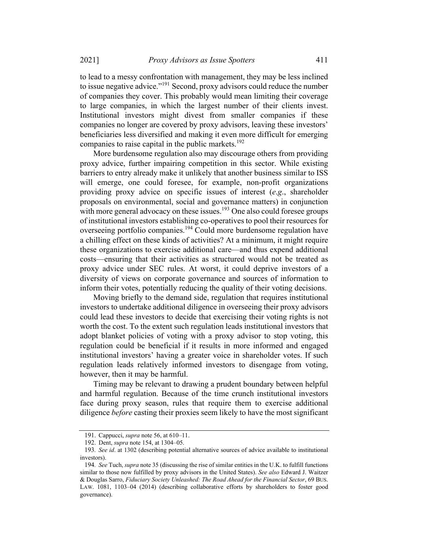to lead to a messy confrontation with management, they may be less inclined to issue negative advice."191 Second, proxy advisors could reduce the number of companies they cover. This probably would mean limiting their coverage to large companies, in which the largest number of their clients invest. Institutional investors might divest from smaller companies if these companies no longer are covered by proxy advisors, leaving these investors' beneficiaries less diversified and making it even more difficult for emerging companies to raise capital in the public markets.<sup>192</sup>

More burdensome regulation also may discourage others from providing proxy advice, further impairing competition in this sector. While existing barriers to entry already make it unlikely that another business similar to ISS will emerge, one could foresee, for example, non-profit organizations providing proxy advice on specific issues of interest (e.g., shareholder proposals on environmental, social and governance matters) in conjunction with more general advocacy on these issues.<sup>193</sup> One also could foresee groups of institutional investors establishing co-operatives to pool their resources for overseeing portfolio companies.<sup>194</sup> Could more burdensome regulation have a chilling effect on these kinds of activities? At a minimum, it might require these organizations to exercise additional care—and thus expend additional costs—ensuring that their activities as structured would not be treated as proxy advice under SEC rules. At worst, it could deprive investors of a diversity of views on corporate governance and sources of information to inform their votes, potentially reducing the quality of their voting decisions.

Moving briefly to the demand side, regulation that requires institutional investors to undertake additional diligence in overseeing their proxy advisors could lead these investors to decide that exercising their voting rights is not worth the cost. To the extent such regulation leads institutional investors that adopt blanket policies of voting with a proxy advisor to stop voting, this regulation could be beneficial if it results in more informed and engaged institutional investors' having a greater voice in shareholder votes. If such regulation leads relatively informed investors to disengage from voting, however, then it may be harmful.

Timing may be relevant to drawing a prudent boundary between helpful and harmful regulation. Because of the time crunch institutional investors face during proxy season, rules that require them to exercise additional diligence *before* casting their proxies seem likely to have the most significant

<sup>191.</sup> Cappucci, supra note 56, at 610–11.

<sup>192.</sup> Dent, supra note 154, at 1304–05.

<sup>193.</sup> See id. at 1302 (describing potential alternative sources of advice available to institutional investors).

<sup>194</sup>. See Tuch, supra note 35 (discussing the rise of similar entities in the U.K. to fulfill functions similar to those now fulfilled by proxy advisors in the United States). See also Edward J. Waitzer & Douglas Sarro, Fiduciary Society Unleashed: The Road Ahead for the Financial Sector, 69 BUS. LAW. 1081, 1103–04 (2014) (describing collaborative efforts by shareholders to foster good governance).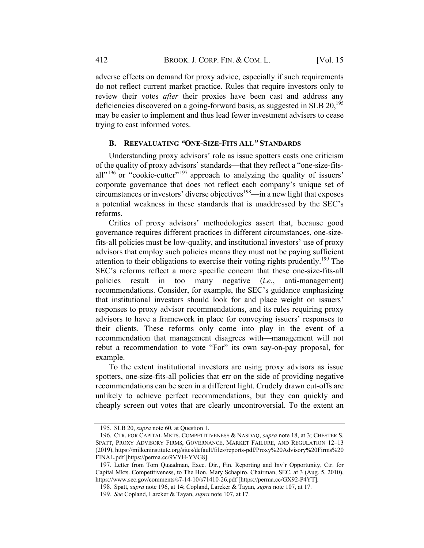adverse effects on demand for proxy advice, especially if such requirements do not reflect current market practice. Rules that require investors only to review their votes *after* their proxies have been cast and address any deficiencies discovered on a going-forward basis, as suggested in SLB 20,<sup>195</sup> may be easier to implement and thus lead fewer investment advisers to cease trying to cast informed votes.

#### B. REEVALUATING "ONE-SIZE-FITS ALL" STANDARDS

Understanding proxy advisors' role as issue spotters casts one criticism of the quality of proxy advisors' standards—that they reflect a "one-size-fitsall"<sup>196</sup> or "cookie-cutter"<sup>197</sup> approach to analyzing the quality of issuers' corporate governance that does not reflect each company's unique set of circumstances or investors' diverse objectives 198—in a new light that exposes a potential weakness in these standards that is unaddressed by the SEC's reforms.

Critics of proxy advisors' methodologies assert that, because good governance requires different practices in different circumstances, one-sizefits-all policies must be low-quality, and institutional investors' use of proxy advisors that employ such policies means they must not be paying sufficient attention to their obligations to exercise their voting rights prudently.<sup>199</sup> The SEC's reforms reflect a more specific concern that these one-size-fits-all policies result in too many negative (i.e., anti-management) recommendations. Consider, for example, the SEC's guidance emphasizing that institutional investors should look for and place weight on issuers' responses to proxy advisor recommendations, and its rules requiring proxy advisors to have a framework in place for conveying issuers' responses to their clients. These reforms only come into play in the event of a recommendation that management disagrees with—management will not rebut a recommendation to vote "For" its own say-on-pay proposal, for example.

To the extent institutional investors are using proxy advisors as issue spotters, one-size-fits-all policies that err on the side of providing negative recommendations can be seen in a different light. Crudely drawn cut-offs are unlikely to achieve perfect recommendations, but they can quickly and cheaply screen out votes that are clearly uncontroversial. To the extent an

<sup>195.</sup> SLB 20, supra note 60, at Question 1.

<sup>196.</sup> CTR. FOR CAPITAL MKTS. COMPETITIVENESS & NASDAQ, supra note 18, at 3; CHESTER S. SPATT, PROXY ADVISORY FIRMS, GOVERNANCE, MARKET FAILURE, AND REGULATION 12–13 (2019), https://milkeninstitute.org/sites/default/files/reports-pdf/Proxy%20Advisory%20Firms%20 FINAL.pdf [https://perma.cc/9VYH-YVG8].

<sup>197.</sup> Letter from Tom Quaadman, Exec. Dir., Fin. Reporting and Inv'r Opportunity, Ctr. for Capital Mkts. Competitiveness, to The Hon. Mary Schapiro, Chairman, SEC, at 3 (Aug. 5, 2010), https://www.sec.gov/comments/s7-14-10/s71410-26.pdf [https://perma.cc/GX92-P4YT].

<sup>198.</sup> Spatt, supra note 196, at 14; Copland, Larcker & Tayan, supra note 107, at 17.

<sup>199</sup>. See Copland, Larcker & Tayan, supra note 107, at 17.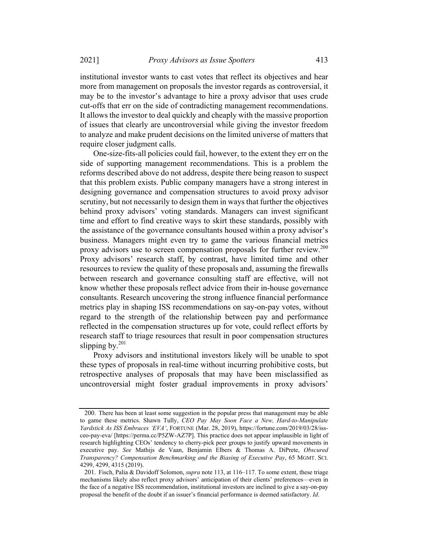institutional investor wants to cast votes that reflect its objectives and hear more from management on proposals the investor regards as controversial, it may be to the investor's advantage to hire a proxy advisor that uses crude cut-offs that err on the side of contradicting management recommendations. It allows the investor to deal quickly and cheaply with the massive proportion of issues that clearly are uncontroversial while giving the investor freedom to analyze and make prudent decisions on the limited universe of matters that require closer judgment calls.

One-size-fits-all policies could fail, however, to the extent they err on the side of supporting management recommendations. This is a problem the reforms described above do not address, despite there being reason to suspect that this problem exists. Public company managers have a strong interest in designing governance and compensation structures to avoid proxy advisor scrutiny, but not necessarily to design them in ways that further the objectives behind proxy advisors' voting standards. Managers can invest significant time and effort to find creative ways to skirt these standards, possibly with the assistance of the governance consultants housed within a proxy advisor's business. Managers might even try to game the various financial metrics proxy advisors use to screen compensation proposals for further review.<sup>200</sup> Proxy advisors' research staff, by contrast, have limited time and other resources to review the quality of these proposals and, assuming the firewalls between research and governance consulting staff are effective, will not know whether these proposals reflect advice from their in-house governance consultants. Research uncovering the strong influence financial performance metrics play in shaping ISS recommendations on say-on-pay votes, without regard to the strength of the relationship between pay and performance reflected in the compensation structures up for vote, could reflect efforts by research staff to triage resources that result in poor compensation structures slipping by. $^{201}$ 

Proxy advisors and institutional investors likely will be unable to spot these types of proposals in real-time without incurring prohibitive costs, but retrospective analyses of proposals that may have been misclassified as uncontroversial might foster gradual improvements in proxy advisors'

<sup>200.</sup> There has been at least some suggestion in the popular press that management may be able to game these metrics. Shawn Tully, CEO Pay May Soon Face a New, Hard-to-Manipulate Yardstick As ISS Embraces 'EVA', FORTUNE (Mar. 28, 2019), https://fortune.com/2019/03/28/issceo-pay-eva/ [https://perma.cc/P5ZW-AZ7P]. This practice does not appear implausible in light of research highlighting CEOs' tendency to cherry-pick peer groups to justify upward movements in executive pay. See Mathijs de Vaan, Benjamin Elbers & Thomas A. DiPrete, Obscured Transparency? Compensation Benchmarking and the Biasing of Executive Pay, 65 MGMT. SCI. 4299, 4299, 4315 (2019).

<sup>201.</sup> Fisch, Palia & Davidoff Solomon, *supra* note 113, at 116–117. To some extent, these triage mechanisms likely also reflect proxy advisors' anticipation of their clients' preferences—even in the face of a negative ISS recommendation, institutional investors are inclined to give a say-on-pay proposal the benefit of the doubt if an issuer's financial performance is deemed satisfactory. Id.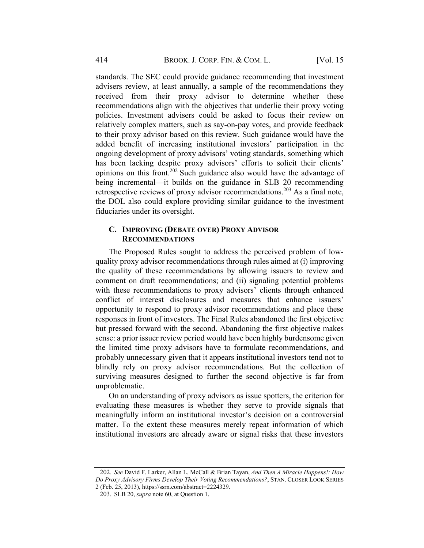standards. The SEC could provide guidance recommending that investment advisers review, at least annually, a sample of the recommendations they received from their proxy advisor to determine whether these recommendations align with the objectives that underlie their proxy voting policies. Investment advisers could be asked to focus their review on relatively complex matters, such as say-on-pay votes, and provide feedback to their proxy advisor based on this review. Such guidance would have the added benefit of increasing institutional investors' participation in the ongoing development of proxy advisors' voting standards, something which has been lacking despite proxy advisors' efforts to solicit their clients' opinions on this front.<sup>202</sup> Such guidance also would have the advantage of being incremental—it builds on the guidance in SLB 20 recommending retrospective reviews of proxy advisor recommendations.<sup>203</sup> As a final note, the DOL also could explore providing similar guidance to the investment fiduciaries under its oversight.

#### C. IMPROVING (DEBATE OVER) PROXY ADVISOR RECOMMENDATIONS

The Proposed Rules sought to address the perceived problem of lowquality proxy advisor recommendations through rules aimed at (i) improving the quality of these recommendations by allowing issuers to review and comment on draft recommendations; and (ii) signaling potential problems with these recommendations to proxy advisors' clients through enhanced conflict of interest disclosures and measures that enhance issuers' opportunity to respond to proxy advisor recommendations and place these responses in front of investors. The Final Rules abandoned the first objective but pressed forward with the second. Abandoning the first objective makes sense: a prior issuer review period would have been highly burdensome given the limited time proxy advisors have to formulate recommendations, and probably unnecessary given that it appears institutional investors tend not to blindly rely on proxy advisor recommendations. But the collection of surviving measures designed to further the second objective is far from unproblematic.

On an understanding of proxy advisors as issue spotters, the criterion for evaluating these measures is whether they serve to provide signals that meaningfully inform an institutional investor's decision on a controversial matter. To the extent these measures merely repeat information of which institutional investors are already aware or signal risks that these investors

<sup>202.</sup> See David F. Larker, Allan L. McCall & Brian Tayan, And Then A Miracle Happens!: How Do Proxy Advisory Firms Develop Their Voting Recommendations?, STAN. CLOSER LOOK SERIES 2 (Feb. 25, 2013), https://ssrn.com/abstract=2224329.

<sup>203.</sup> SLB 20, supra note 60, at Question 1.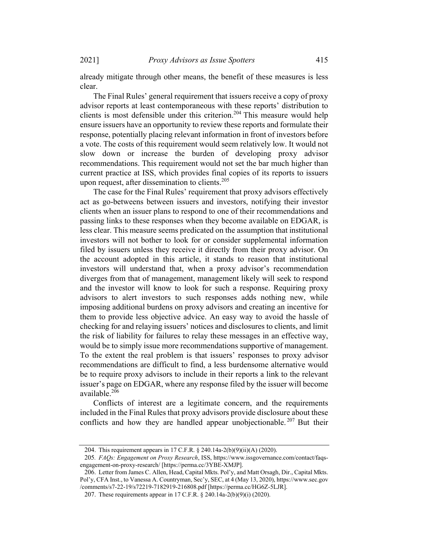already mitigate through other means, the benefit of these measures is less clear.

The Final Rules' general requirement that issuers receive a copy of proxy advisor reports at least contemporaneous with these reports' distribution to clients is most defensible under this criterion.<sup>204</sup> This measure would help ensure issuers have an opportunity to review these reports and formulate their response, potentially placing relevant information in front of investors before a vote. The costs of this requirement would seem relatively low. It would not slow down or increase the burden of developing proxy advisor recommendations. This requirement would not set the bar much higher than current practice at ISS, which provides final copies of its reports to issuers upon request, after dissemination to clients.<sup>205</sup>

The case for the Final Rules' requirement that proxy advisors effectively act as go-betweens between issuers and investors, notifying their investor clients when an issuer plans to respond to one of their recommendations and passing links to these responses when they become available on EDGAR, is less clear. This measure seems predicated on the assumption that institutional investors will not bother to look for or consider supplemental information filed by issuers unless they receive it directly from their proxy advisor. On the account adopted in this article, it stands to reason that institutional investors will understand that, when a proxy advisor's recommendation diverges from that of management, management likely will seek to respond and the investor will know to look for such a response. Requiring proxy advisors to alert investors to such responses adds nothing new, while imposing additional burdens on proxy advisors and creating an incentive for them to provide less objective advice. An easy way to avoid the hassle of checking for and relaying issuers' notices and disclosures to clients, and limit the risk of liability for failures to relay these messages in an effective way, would be to simply issue more recommendations supportive of management. To the extent the real problem is that issuers' responses to proxy advisor recommendations are difficult to find, a less burdensome alternative would be to require proxy advisors to include in their reports a link to the relevant issuer's page on EDGAR, where any response filed by the issuer will become available. $206$ 

Conflicts of interest are a legitimate concern, and the requirements included in the Final Rules that proxy advisors provide disclosure about these conflicts and how they are handled appear unobjectionable.<sup>207</sup> But their

<sup>204.</sup> This requirement appears in 17 C.F.R. § 240.14a-2(b)(9)(ii)(A) (2020).

<sup>205</sup>. FAQs: Engagement on Proxy Research, ISS, https://www.issgovernance.com/contact/faqsengagement-on-proxy-research/ [https://perma.cc/3YBE-XMJP].

<sup>206.</sup> Letter from James C. Allen, Head, Capital Mkts. Pol'y, and Matt Orsagh, Dir., Capital Mkts. Pol'y, CFA Inst., to Vanessa A. Countryman, Sec'y, SEC, at 4 (May 13, 2020), https://www.sec.gov /comments/s7-22-19/s72219-7182919-216808.pdf [https://perma.cc/HG6Z-5LJR].

<sup>207.</sup> These requirements appear in 17 C.F.R. § 240.14a-2(b)(9)(i) (2020).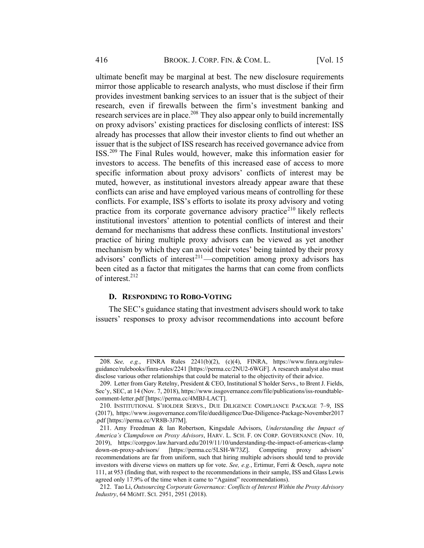ultimate benefit may be marginal at best. The new disclosure requirements mirror those applicable to research analysts, who must disclose if their firm provides investment banking services to an issuer that is the subject of their research, even if firewalls between the firm's investment banking and research services are in place.<sup>208</sup> They also appear only to build incrementally on proxy advisors' existing practices for disclosing conflicts of interest: ISS already has processes that allow their investor clients to find out whether an issuer that is the subject of ISS research has received governance advice from ISS.<sup>209</sup> The Final Rules would, however, make this information easier for investors to access. The benefits of this increased ease of access to more specific information about proxy advisors' conflicts of interest may be muted, however, as institutional investors already appear aware that these conflicts can arise and have employed various means of controlling for these conflicts. For example, ISS's efforts to isolate its proxy advisory and voting practice from its corporate governance advisory practice<sup>210</sup> likely reflects institutional investors' attention to potential conflicts of interest and their demand for mechanisms that address these conflicts. Institutional investors' practice of hiring multiple proxy advisors can be viewed as yet another mechanism by which they can avoid their votes' being tainted by their proxy advisors' conflicts of interest<sup>211</sup>—competition among proxy advisors has been cited as a factor that mitigates the harms that can come from conflicts of interest.212

#### D. RESPONDING TO ROBO-VOTING

The SEC's guidance stating that investment advisers should work to take issuers' responses to proxy advisor recommendations into account before

<sup>208</sup>. See, e.g., FINRA Rules 2241(b)(2), (c)(4), FINRA, https://www.finra.org/rulesguidance/rulebooks/finra-rules/2241 [https://perma.cc/2NU2-6WGF]. A research analyst also must disclose various other relationships that could be material to the objectivity of their advice.

<sup>209.</sup> Letter from Gary Retelny, President & CEO, Institutional S'holder Servs., to Brent J. Fields, Sec'y, SEC, at 14 (Nov. 7, 2018), https://www.issgovernance.com/file/publications/iss-roundtablecomment-letter.pdf [https://perma.cc/4MBJ-LACT].

<sup>210.</sup> INSTITUTIONAL S'HOLDER SERVS., DUE DILIGENCE COMPLIANCE PACKAGE 7–9, ISS (2017), https://www.issgovernance.com/file/duediligence/Due-Diligence-Package-November2017 .pdf [https://perma.cc/VR8B-3J7M].

<sup>211.</sup> Amy Freedman & Ian Robertson, Kingsdale Advisors, Understanding the Impact of America's Clampdown on Proxy Advisors, HARV. L. SCH. F. ON CORP. GOVERNANCE (Nov. 10, 2019), https://corpgov.law.harvard.edu/2019/11/10/understanding-the-impact-of-americas-clamp down-on-proxy-advisors/ [https://perma.cc/5LSH-W73Z]. Competing proxy advisors' recommendations are far from uniform, such that hiring multiple advisors should tend to provide investors with diverse views on matters up for vote. See, e.g., Ertimur, Ferri & Oesch, supra note 111, at 953 (finding that, with respect to the recommendations in their sample, ISS and Glass Lewis agreed only 17.9% of the time when it came to "Against" recommendations).

<sup>212.</sup> Tao Li, Outsourcing Corporate Governance: Conflicts of Interest Within the Proxy Advisory Industry, 64 MGMT. SCI. 2951, 2951 (2018).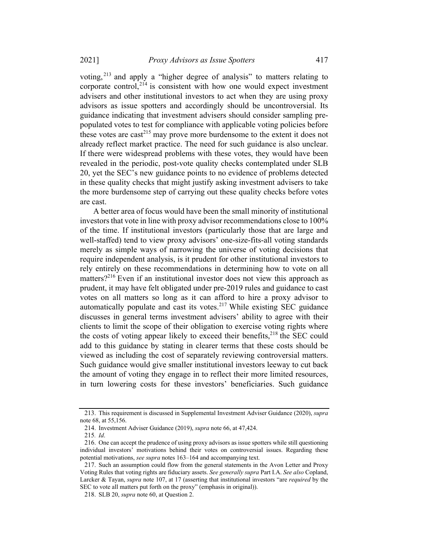2021] Proxy Advisors as Issue Spotters 417

voting, <sup>213</sup> and apply a "higher degree of analysis" to matters relating to corporate control, $2^{14}$  is consistent with how one would expect investment advisers and other institutional investors to act when they are using proxy advisors as issue spotters and accordingly should be uncontroversial. Its guidance indicating that investment advisers should consider sampling prepopulated votes to test for compliance with applicable voting policies before these votes are cast<sup>215</sup> may prove more burdensome to the extent it does not already reflect market practice. The need for such guidance is also unclear. If there were widespread problems with these votes, they would have been revealed in the periodic, post-vote quality checks contemplated under SLB 20, yet the SEC's new guidance points to no evidence of problems detected in these quality checks that might justify asking investment advisers to take the more burdensome step of carrying out these quality checks before votes are cast.

A better area of focus would have been the small minority of institutional investors that vote in line with proxy advisor recommendations close to 100% of the time. If institutional investors (particularly those that are large and well-staffed) tend to view proxy advisors' one-size-fits-all voting standards merely as simple ways of narrowing the universe of voting decisions that require independent analysis, is it prudent for other institutional investors to rely entirely on these recommendations in determining how to vote on all matters?<sup>216</sup> Even if an institutional investor does not view this approach as prudent, it may have felt obligated under pre-2019 rules and guidance to cast votes on all matters so long as it can afford to hire a proxy advisor to automatically populate and cast its votes.<sup>217</sup> While existing SEC guidance discusses in general terms investment advisers' ability to agree with their clients to limit the scope of their obligation to exercise voting rights where the costs of voting appear likely to exceed their benefits,  $218$  the SEC could add to this guidance by stating in clearer terms that these costs should be viewed as including the cost of separately reviewing controversial matters. Such guidance would give smaller institutional investors leeway to cut back the amount of voting they engage in to reflect their more limited resources, in turn lowering costs for these investors' beneficiaries. Such guidance

<sup>213.</sup> This requirement is discussed in Supplemental Investment Adviser Guidance (2020), *supra* note 68, at 55,156.

<sup>214.</sup> Investment Adviser Guidance (2019), supra note 66, at 47,424.

<sup>215</sup>. Id.

<sup>216.</sup> One can accept the prudence of using proxy advisors as issue spotters while still questioning individual investors' motivations behind their votes on controversial issues. Regarding these potential motivations, see supra notes 163–164 and accompanying text.

<sup>217.</sup> Such an assumption could flow from the general statements in the Avon Letter and Proxy Voting Rules that voting rights are fiduciary assets. See generally supra Part I.A. See also Copland, Larcker & Tayan, *supra* note 107, at 17 (asserting that institutional investors "are *required* by the SEC to vote all matters put forth on the proxy" (emphasis in original)).

<sup>218.</sup> SLB 20, supra note 60, at Question 2.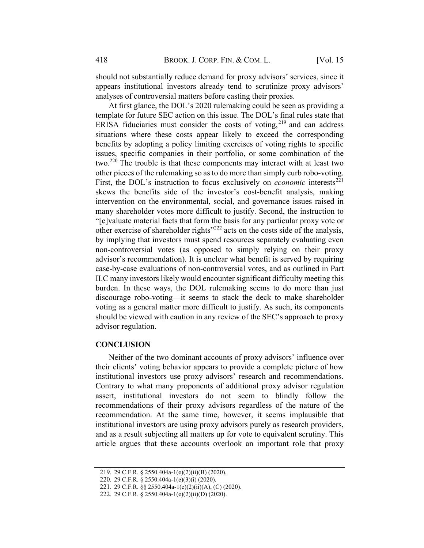should not substantially reduce demand for proxy advisors' services, since it appears institutional investors already tend to scrutinize proxy advisors' analyses of controversial matters before casting their proxies.

At first glance, the DOL's 2020 rulemaking could be seen as providing a template for future SEC action on this issue. The DOL's final rules state that ERISA fiduciaries must consider the costs of voting,  $219$  and can address situations where these costs appear likely to exceed the corresponding benefits by adopting a policy limiting exercises of voting rights to specific issues, specific companies in their portfolio, or some combination of the two.<sup>220</sup> The trouble is that these components may interact with at least two other pieces of the rulemaking so as to do more than simply curb robo-voting. First, the DOL's instruction to focus exclusively on *economic* interests<sup>221</sup> skews the benefits side of the investor's cost-benefit analysis, making intervention on the environmental, social, and governance issues raised in many shareholder votes more difficult to justify. Second, the instruction to "[e]valuate material facts that form the basis for any particular proxy vote or other exercise of shareholder rights $"222$  acts on the costs side of the analysis, by implying that investors must spend resources separately evaluating even non-controversial votes (as opposed to simply relying on their proxy advisor's recommendation). It is unclear what benefit is served by requiring case-by-case evaluations of non-controversial votes, and as outlined in Part II.C many investors likely would encounter significant difficulty meeting this burden. In these ways, the DOL rulemaking seems to do more than just discourage robo-voting—it seems to stack the deck to make shareholder voting as a general matter more difficult to justify. As such, its components should be viewed with caution in any review of the SEC's approach to proxy advisor regulation.

#### **CONCLUSION**

Neither of the two dominant accounts of proxy advisors' influence over their clients' voting behavior appears to provide a complete picture of how institutional investors use proxy advisors' research and recommendations. Contrary to what many proponents of additional proxy advisor regulation assert, institutional investors do not seem to blindly follow the recommendations of their proxy advisors regardless of the nature of the recommendation. At the same time, however, it seems implausible that institutional investors are using proxy advisors purely as research providers, and as a result subjecting all matters up for vote to equivalent scrutiny. This article argues that these accounts overlook an important role that proxy

<sup>219.</sup> 29 C.F.R. § 2550.404a-1(e)(2)(ii)(B) (2020).

<sup>220.</sup> 29 C.F.R. § 2550.404a-1(e)(3)(i) (2020).

<sup>221.</sup> 29 C.F.R. §§ 2550.404a-1(e)(2)(ii)(A), (C) (2020).

<sup>222.</sup> 29 C.F.R. § 2550.404a-1(e)(2)(ii)(D) (2020).